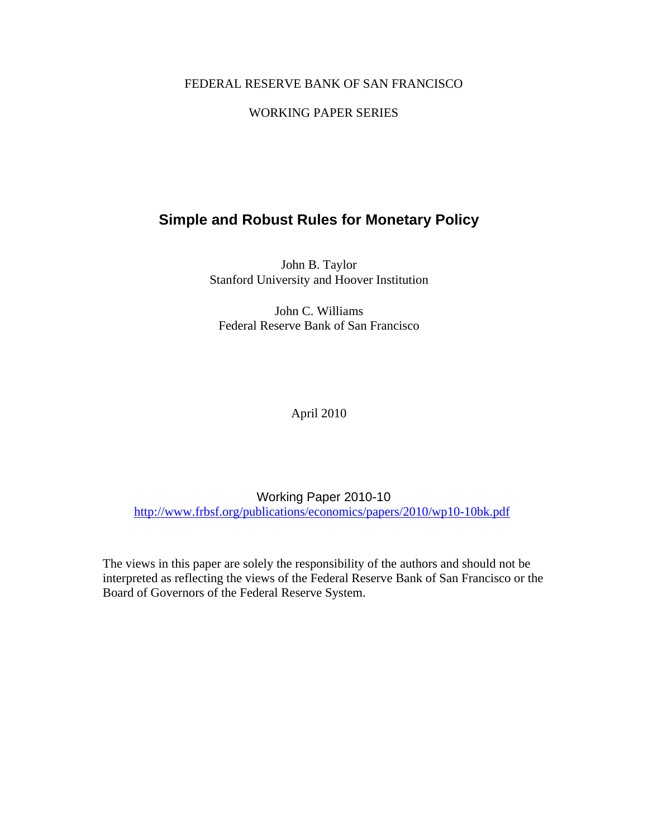# FEDERAL RESERVE BANK OF SAN FRANCISCO

# WORKING PAPER SERIES

# **Simple and Robust Rules for Monetary Policy**

John B. Taylor Stanford University and Hoover Institution

John C. Williams Federal Reserve Bank of San Francisco

April 2010

Working Paper 2010-10 http://www.frbsf.org/publications/economics/papers/2010/wp10-10bk.pdf

The views in this paper are solely the responsibility of the authors and should not be interpreted as reflecting the views of the Federal Reserve Bank of San Francisco or the Board of Governors of the Federal Reserve System.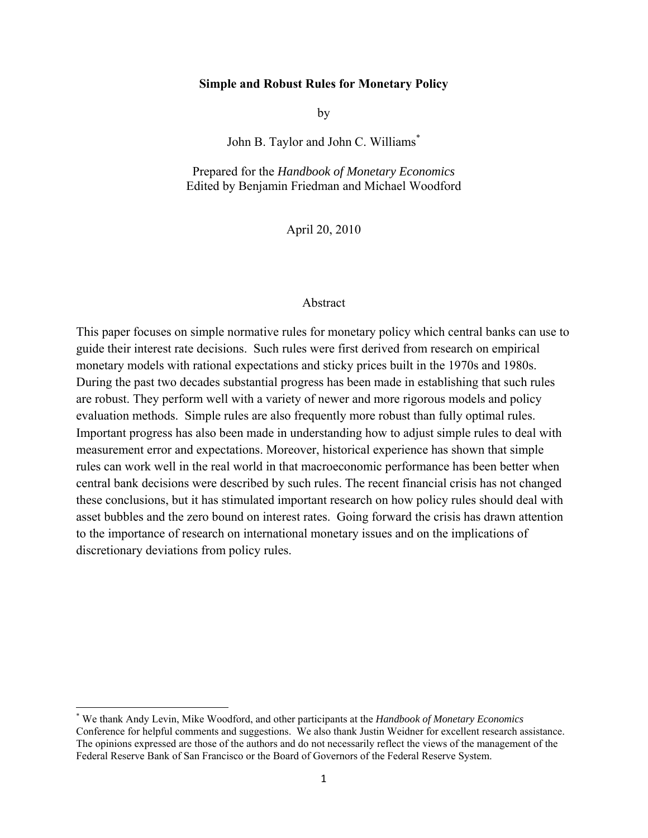#### **Simple and Robust Rules for Monetary Policy**

by

John B. Taylor and John C. Williams\*

Prepared for the *Handbook of Monetary Economics*  Edited by Benjamin Friedman and Michael Woodford

April 20, 2010

#### Abstract

This paper focuses on simple normative rules for monetary policy which central banks can use to guide their interest rate decisions. Such rules were first derived from research on empirical monetary models with rational expectations and sticky prices built in the 1970s and 1980s. During the past two decades substantial progress has been made in establishing that such rules are robust. They perform well with a variety of newer and more rigorous models and policy evaluation methods. Simple rules are also frequently more robust than fully optimal rules. Important progress has also been made in understanding how to adjust simple rules to deal with measurement error and expectations. Moreover, historical experience has shown that simple rules can work well in the real world in that macroeconomic performance has been better when central bank decisions were described by such rules. The recent financial crisis has not changed these conclusions, but it has stimulated important research on how policy rules should deal with asset bubbles and the zero bound on interest rates. Going forward the crisis has drawn attention to the importance of research on international monetary issues and on the implications of discretionary deviations from policy rules.

<sup>\*</sup> We thank Andy Levin, Mike Woodford, and other participants at the *Handbook of Monetary Economics* Conference for helpful comments and suggestions. We also thank Justin Weidner for excellent research assistance. The opinions expressed are those of the authors and do not necessarily reflect the views of the management of the Federal Reserve Bank of San Francisco or the Board of Governors of the Federal Reserve System.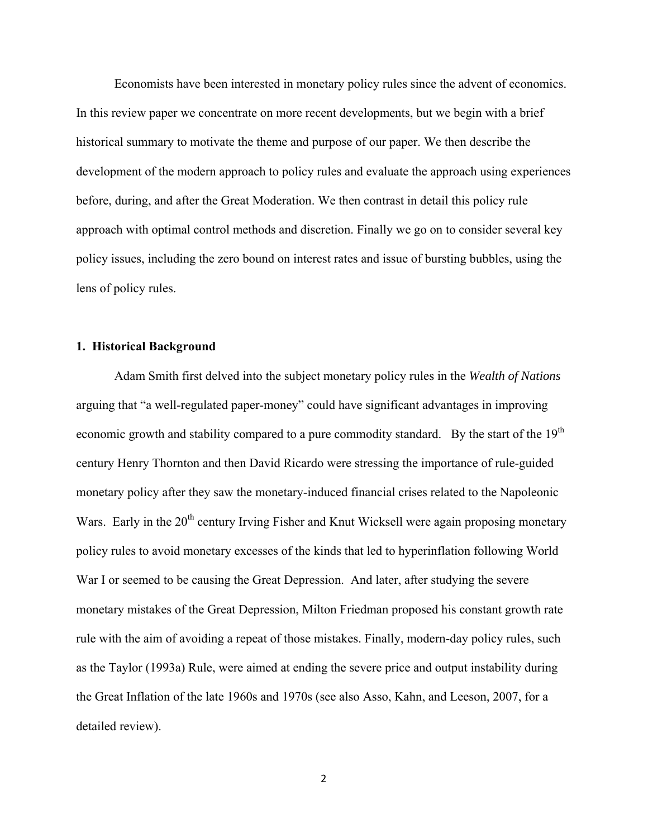Economists have been interested in monetary policy rules since the advent of economics. In this review paper we concentrate on more recent developments, but we begin with a brief historical summary to motivate the theme and purpose of our paper. We then describe the development of the modern approach to policy rules and evaluate the approach using experiences before, during, and after the Great Moderation. We then contrast in detail this policy rule approach with optimal control methods and discretion. Finally we go on to consider several key policy issues, including the zero bound on interest rates and issue of bursting bubbles, using the lens of policy rules.

# **1. Historical Background**

 Adam Smith first delved into the subject monetary policy rules in the *Wealth of Nations* arguing that "a well-regulated paper-money" could have significant advantages in improving economic growth and stability compared to a pure commodity standard. By the start of the 19<sup>th</sup> century Henry Thornton and then David Ricardo were stressing the importance of rule-guided monetary policy after they saw the monetary-induced financial crises related to the Napoleonic Wars. Early in the 20<sup>th</sup> century Irving Fisher and Knut Wicksell were again proposing monetary policy rules to avoid monetary excesses of the kinds that led to hyperinflation following World War I or seemed to be causing the Great Depression. And later, after studying the severe monetary mistakes of the Great Depression, Milton Friedman proposed his constant growth rate rule with the aim of avoiding a repeat of those mistakes. Finally, modern-day policy rules, such as the Taylor (1993a) Rule, were aimed at ending the severe price and output instability during the Great Inflation of the late 1960s and 1970s (see also Asso, Kahn, and Leeson, 2007, for a detailed review).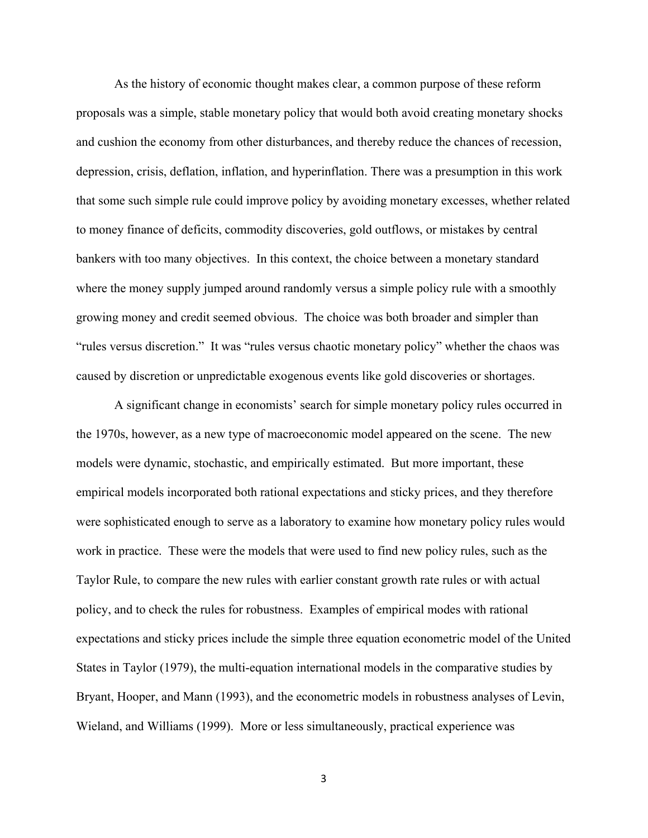As the history of economic thought makes clear, a common purpose of these reform proposals was a simple, stable monetary policy that would both avoid creating monetary shocks and cushion the economy from other disturbances, and thereby reduce the chances of recession, depression, crisis, deflation, inflation, and hyperinflation. There was a presumption in this work that some such simple rule could improve policy by avoiding monetary excesses, whether related to money finance of deficits, commodity discoveries, gold outflows, or mistakes by central bankers with too many objectives. In this context, the choice between a monetary standard where the money supply jumped around randomly versus a simple policy rule with a smoothly growing money and credit seemed obvious. The choice was both broader and simpler than "rules versus discretion." It was "rules versus chaotic monetary policy" whether the chaos was caused by discretion or unpredictable exogenous events like gold discoveries or shortages.

 A significant change in economists' search for simple monetary policy rules occurred in the 1970s, however, as a new type of macroeconomic model appeared on the scene. The new models were dynamic, stochastic, and empirically estimated. But more important, these empirical models incorporated both rational expectations and sticky prices, and they therefore were sophisticated enough to serve as a laboratory to examine how monetary policy rules would work in practice. These were the models that were used to find new policy rules, such as the Taylor Rule, to compare the new rules with earlier constant growth rate rules or with actual policy, and to check the rules for robustness. Examples of empirical modes with rational expectations and sticky prices include the simple three equation econometric model of the United States in Taylor (1979), the multi-equation international models in the comparative studies by Bryant, Hooper, and Mann (1993), and the econometric models in robustness analyses of Levin, Wieland, and Williams (1999). More or less simultaneously, practical experience was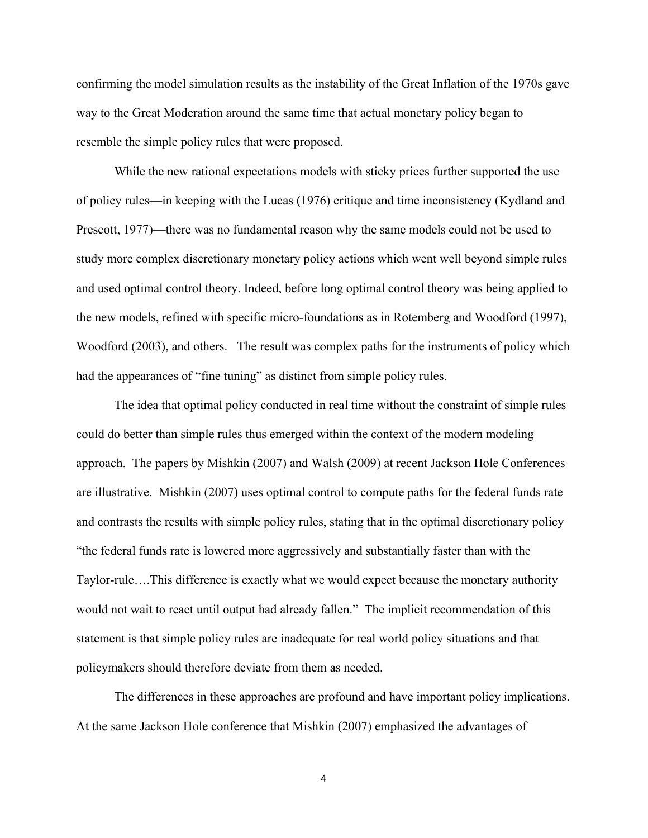confirming the model simulation results as the instability of the Great Inflation of the 1970s gave way to the Great Moderation around the same time that actual monetary policy began to resemble the simple policy rules that were proposed.

 While the new rational expectations models with sticky prices further supported the use of policy rules—in keeping with the Lucas (1976) critique and time inconsistency (Kydland and Prescott, 1977)—there was no fundamental reason why the same models could not be used to study more complex discretionary monetary policy actions which went well beyond simple rules and used optimal control theory. Indeed, before long optimal control theory was being applied to the new models, refined with specific micro-foundations as in Rotemberg and Woodford (1997), Woodford (2003), and others. The result was complex paths for the instruments of policy which had the appearances of "fine tuning" as distinct from simple policy rules.

 The idea that optimal policy conducted in real time without the constraint of simple rules could do better than simple rules thus emerged within the context of the modern modeling approach. The papers by Mishkin (2007) and Walsh (2009) at recent Jackson Hole Conferences are illustrative. Mishkin (2007) uses optimal control to compute paths for the federal funds rate and contrasts the results with simple policy rules, stating that in the optimal discretionary policy "the federal funds rate is lowered more aggressively and substantially faster than with the Taylor-rule….This difference is exactly what we would expect because the monetary authority would not wait to react until output had already fallen." The implicit recommendation of this statement is that simple policy rules are inadequate for real world policy situations and that policymakers should therefore deviate from them as needed.

The differences in these approaches are profound and have important policy implications. At the same Jackson Hole conference that Mishkin (2007) emphasized the advantages of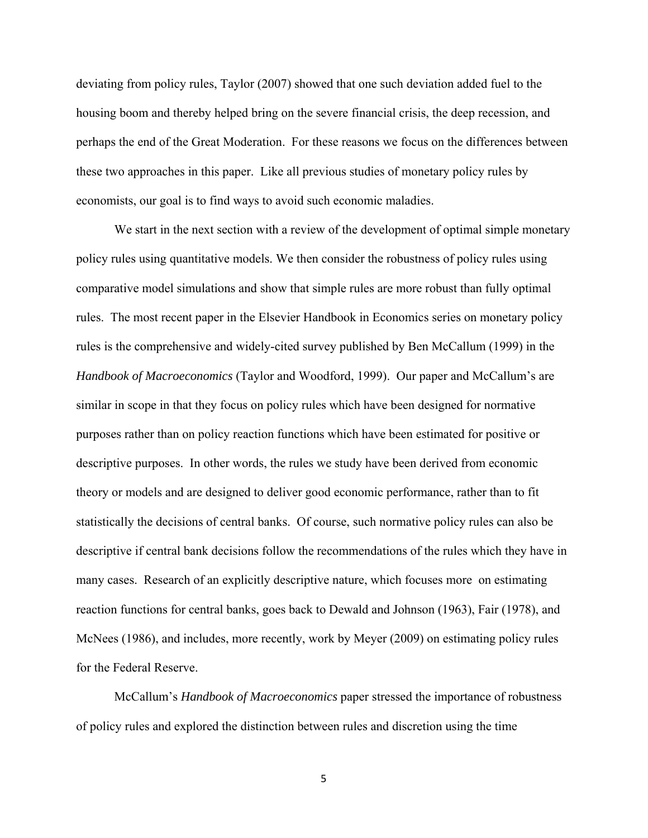deviating from policy rules, Taylor (2007) showed that one such deviation added fuel to the housing boom and thereby helped bring on the severe financial crisis, the deep recession, and perhaps the end of the Great Moderation. For these reasons we focus on the differences between these two approaches in this paper. Like all previous studies of monetary policy rules by economists, our goal is to find ways to avoid such economic maladies.

We start in the next section with a review of the development of optimal simple monetary policy rules using quantitative models. We then consider the robustness of policy rules using comparative model simulations and show that simple rules are more robust than fully optimal rules. The most recent paper in the Elsevier Handbook in Economics series on monetary policy rules is the comprehensive and widely-cited survey published by Ben McCallum (1999) in the *Handbook of Macroeconomics* (Taylor and Woodford, 1999). Our paper and McCallum's are similar in scope in that they focus on policy rules which have been designed for normative purposes rather than on policy reaction functions which have been estimated for positive or descriptive purposes. In other words, the rules we study have been derived from economic theory or models and are designed to deliver good economic performance, rather than to fit statistically the decisions of central banks. Of course, such normative policy rules can also be descriptive if central bank decisions follow the recommendations of the rules which they have in many cases. Research of an explicitly descriptive nature, which focuses more on estimating reaction functions for central banks, goes back to Dewald and Johnson (1963), Fair (1978), and McNees (1986), and includes, more recently, work by Meyer (2009) on estimating policy rules for the Federal Reserve.

 McCallum's *Handbook of Macroeconomics* paper stressed the importance of robustness of policy rules and explored the distinction between rules and discretion using the time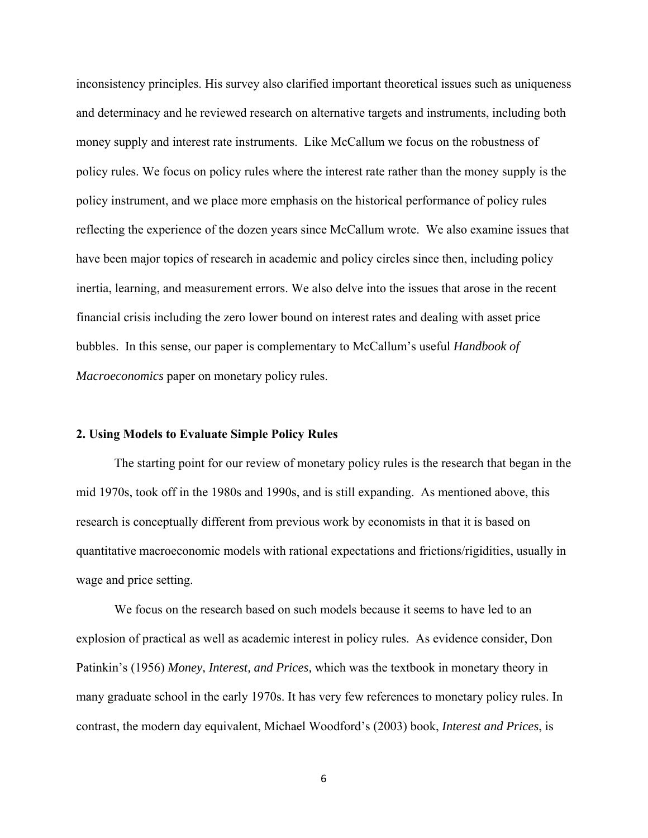inconsistency principles. His survey also clarified important theoretical issues such as uniqueness and determinacy and he reviewed research on alternative targets and instruments, including both money supply and interest rate instruments. Like McCallum we focus on the robustness of policy rules. We focus on policy rules where the interest rate rather than the money supply is the policy instrument, and we place more emphasis on the historical performance of policy rules reflecting the experience of the dozen years since McCallum wrote. We also examine issues that have been major topics of research in academic and policy circles since then, including policy inertia, learning, and measurement errors. We also delve into the issues that arose in the recent financial crisis including the zero lower bound on interest rates and dealing with asset price bubbles. In this sense, our paper is complementary to McCallum's useful *Handbook of Macroeconomics* paper on monetary policy rules.

#### **2. Using Models to Evaluate Simple Policy Rules**

 The starting point for our review of monetary policy rules is the research that began in the mid 1970s, took off in the 1980s and 1990s, and is still expanding. As mentioned above, this research is conceptually different from previous work by economists in that it is based on quantitative macroeconomic models with rational expectations and frictions/rigidities, usually in wage and price setting.

 We focus on the research based on such models because it seems to have led to an explosion of practical as well as academic interest in policy rules. As evidence consider, Don Patinkin's (1956) *Money, Interest, and Prices,* which was the textbook in monetary theory in many graduate school in the early 1970s. It has very few references to monetary policy rules. In contrast, the modern day equivalent, Michael Woodford's (2003) book, *Interest and Prices*, is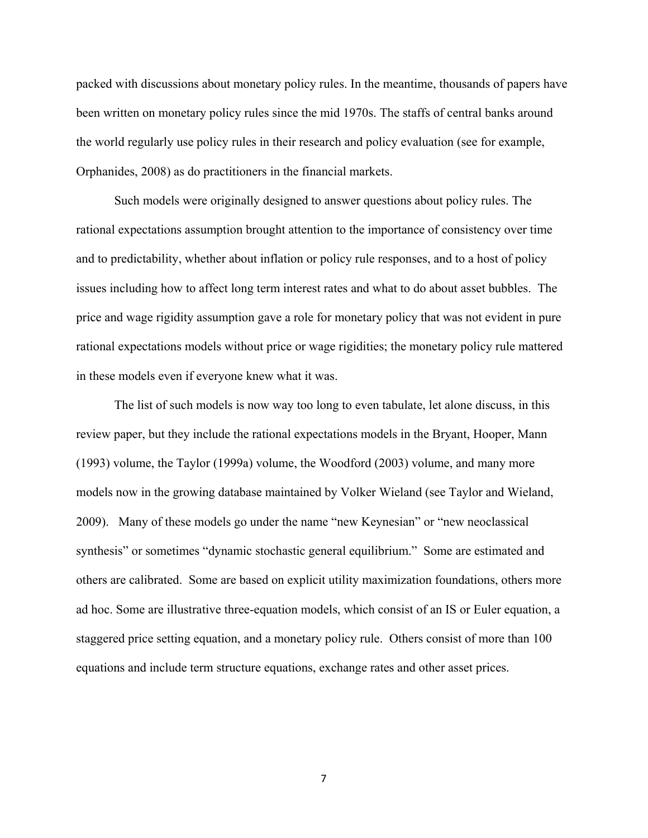packed with discussions about monetary policy rules. In the meantime, thousands of papers have been written on monetary policy rules since the mid 1970s. The staffs of central banks around the world regularly use policy rules in their research and policy evaluation (see for example, Orphanides, 2008) as do practitioners in the financial markets.

 Such models were originally designed to answer questions about policy rules. The rational expectations assumption brought attention to the importance of consistency over time and to predictability, whether about inflation or policy rule responses, and to a host of policy issues including how to affect long term interest rates and what to do about asset bubbles. The price and wage rigidity assumption gave a role for monetary policy that was not evident in pure rational expectations models without price or wage rigidities; the monetary policy rule mattered in these models even if everyone knew what it was.

 The list of such models is now way too long to even tabulate, let alone discuss, in this review paper, but they include the rational expectations models in the Bryant, Hooper, Mann (1993) volume, the Taylor (1999a) volume, the Woodford (2003) volume, and many more models now in the growing database maintained by Volker Wieland (see Taylor and Wieland, 2009). Many of these models go under the name "new Keynesian" or "new neoclassical synthesis" or sometimes "dynamic stochastic general equilibrium." Some are estimated and others are calibrated. Some are based on explicit utility maximization foundations, others more ad hoc. Some are illustrative three-equation models, which consist of an IS or Euler equation, a staggered price setting equation, and a monetary policy rule. Others consist of more than 100 equations and include term structure equations, exchange rates and other asset prices.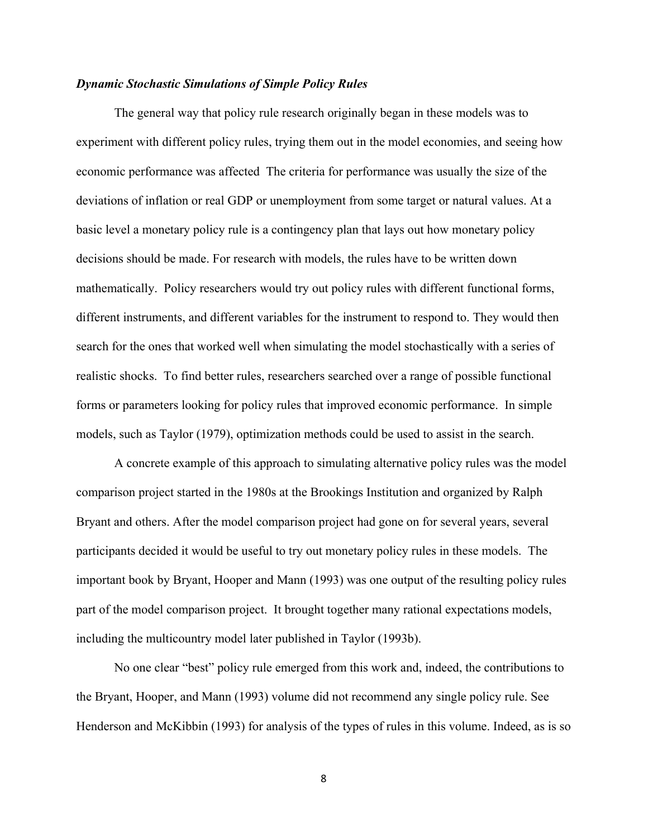# *Dynamic Stochastic Simulations of Simple Policy Rules*

 The general way that policy rule research originally began in these models was to experiment with different policy rules, trying them out in the model economies, and seeing how economic performance was affected The criteria for performance was usually the size of the deviations of inflation or real GDP or unemployment from some target or natural values. At a basic level a monetary policy rule is a contingency plan that lays out how monetary policy decisions should be made. For research with models, the rules have to be written down mathematically. Policy researchers would try out policy rules with different functional forms, different instruments, and different variables for the instrument to respond to. They would then search for the ones that worked well when simulating the model stochastically with a series of realistic shocks. To find better rules, researchers searched over a range of possible functional forms or parameters looking for policy rules that improved economic performance. In simple models, such as Taylor (1979), optimization methods could be used to assist in the search.

 A concrete example of this approach to simulating alternative policy rules was the model comparison project started in the 1980s at the Brookings Institution and organized by Ralph Bryant and others. After the model comparison project had gone on for several years, several participants decided it would be useful to try out monetary policy rules in these models. The important book by Bryant, Hooper and Mann (1993) was one output of the resulting policy rules part of the model comparison project. It brought together many rational expectations models, including the multicountry model later published in Taylor (1993b).

 No one clear "best" policy rule emerged from this work and, indeed, the contributions to the Bryant, Hooper, and Mann (1993) volume did not recommend any single policy rule. See Henderson and McKibbin (1993) for analysis of the types of rules in this volume. Indeed, as is so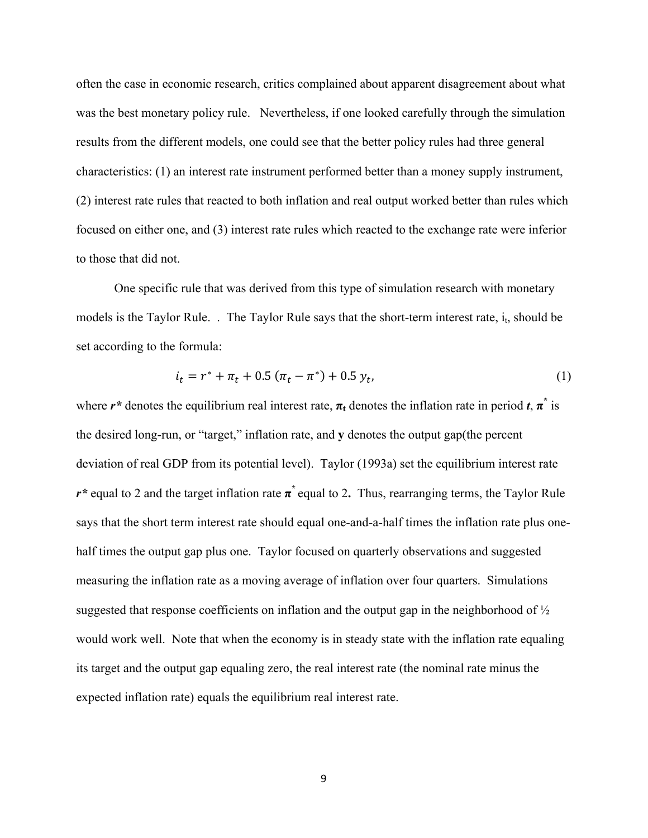often the case in economic research, critics complained about apparent disagreement about what was the best monetary policy rule. Nevertheless, if one looked carefully through the simulation results from the different models, one could see that the better policy rules had three general characteristics: (1) an interest rate instrument performed better than a money supply instrument, (2) interest rate rules that reacted to both inflation and real output worked better than rules which focused on either one, and (3) interest rate rules which reacted to the exchange rate were inferior to those that did not.

One specific rule that was derived from this type of simulation research with monetary models is the Taylor Rule. . The Taylor Rule says that the short-term interest rate,  $i_t$ , should be set according to the formula:

$$
i_t = r^* + \pi_t + 0.5 (\pi_t - \pi^*) + 0.5 y_t, \tag{1}
$$

where  $r^*$  denotes the equilibrium real interest rate,  $\pi_t$  denotes the inflation rate in period  $t$ ,  $\pi^*$  is the desired long-run, or "target," inflation rate, and **y** denotes the output gap(the percent deviation of real GDP from its potential level). Taylor (1993a) set the equilibrium interest rate *r\** equal to 2 and the target inflation rate **π\*** equal to 2**.** Thus, rearranging terms, the Taylor Rule says that the short term interest rate should equal one-and-a-half times the inflation rate plus onehalf times the output gap plus one. Taylor focused on quarterly observations and suggested measuring the inflation rate as a moving average of inflation over four quarters. Simulations suggested that response coefficients on inflation and the output gap in the neighborhood of  $\frac{1}{2}$ would work well. Note that when the economy is in steady state with the inflation rate equaling its target and the output gap equaling zero, the real interest rate (the nominal rate minus the expected inflation rate) equals the equilibrium real interest rate.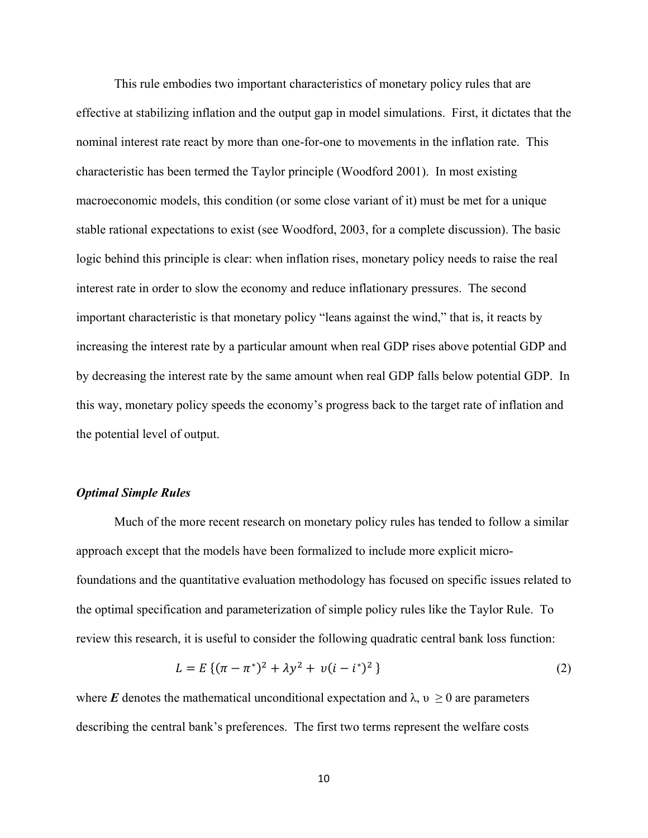This rule embodies two important characteristics of monetary policy rules that are effective at stabilizing inflation and the output gap in model simulations. First, it dictates that the nominal interest rate react by more than one-for-one to movements in the inflation rate. This characteristic has been termed the Taylor principle (Woodford 2001). In most existing macroeconomic models, this condition (or some close variant of it) must be met for a unique stable rational expectations to exist (see Woodford, 2003, for a complete discussion). The basic logic behind this principle is clear: when inflation rises, monetary policy needs to raise the real interest rate in order to slow the economy and reduce inflationary pressures. The second important characteristic is that monetary policy "leans against the wind," that is, it reacts by increasing the interest rate by a particular amount when real GDP rises above potential GDP and by decreasing the interest rate by the same amount when real GDP falls below potential GDP. In this way, monetary policy speeds the economy's progress back to the target rate of inflation and the potential level of output.

#### *Optimal Simple Rules*

 Much of the more recent research on monetary policy rules has tended to follow a similar approach except that the models have been formalized to include more explicit microfoundations and the quantitative evaluation methodology has focused on specific issues related to the optimal specification and parameterization of simple policy rules like the Taylor Rule. To review this research, it is useful to consider the following quadratic central bank loss function:

$$
L = E\left\{ (\pi - \pi^*)^2 + \lambda y^2 + v(i - i^*)^2 \right\}
$$
 (2)

where *E* denotes the mathematical unconditional expectation and  $\lambda$ ,  $\nu \ge 0$  are parameters describing the central bank's preferences. The first two terms represent the welfare costs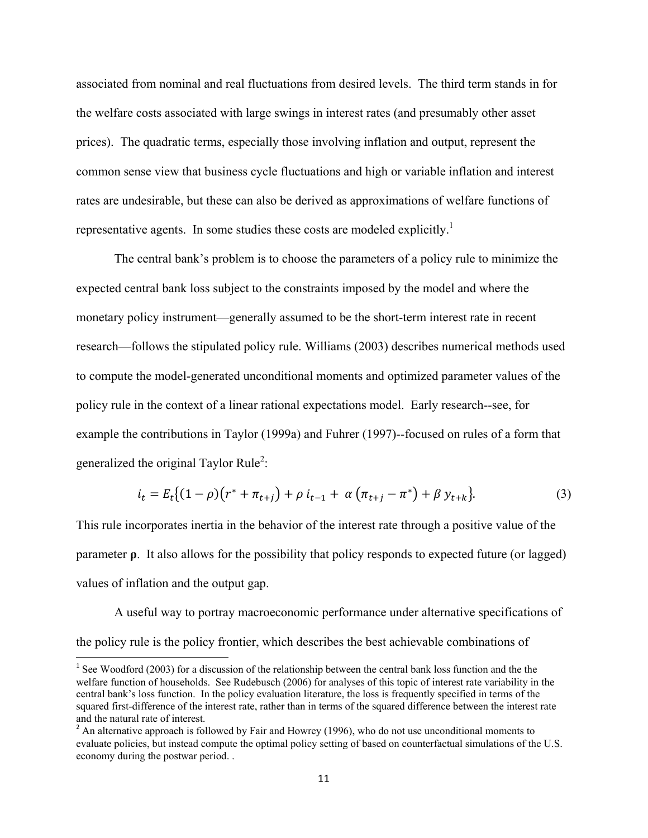associated from nominal and real fluctuations from desired levels. The third term stands in for the welfare costs associated with large swings in interest rates (and presumably other asset prices). The quadratic terms, especially those involving inflation and output, represent the common sense view that business cycle fluctuations and high or variable inflation and interest rates are undesirable, but these can also be derived as approximations of welfare functions of representative agents. In some studies these costs are modeled explicitly.<sup>1</sup>

The central bank's problem is to choose the parameters of a policy rule to minimize the expected central bank loss subject to the constraints imposed by the model and where the monetary policy instrument—generally assumed to be the short-term interest rate in recent research—follows the stipulated policy rule. Williams (2003) describes numerical methods used to compute the model-generated unconditional moments and optimized parameter values of the policy rule in the context of a linear rational expectations model. Early research--see, for example the contributions in Taylor (1999a) and Fuhrer (1997)--focused on rules of a form that generalized the original Taylor Rule<sup>2</sup>:

$$
i_t = E_t \{(1 - \rho)(r^* + \pi_{t+j}) + \rho i_{t-1} + \alpha (\pi_{t+j} - \pi^*) + \beta y_{t+k}\}.
$$
 (3)

This rule incorporates inertia in the behavior of the interest rate through a positive value of the parameter **ρ**. It also allows for the possibility that policy responds to expected future (or lagged) values of inflation and the output gap.

A useful way to portray macroeconomic performance under alternative specifications of the policy rule is the policy frontier, which describes the best achievable combinations of

 $1$  See Woodford (2003) for a discussion of the relationship between the central bank loss function and the the welfare function of households. See Rudebusch (2006) for analyses of this topic of interest rate variability in the central bank's loss function. In the policy evaluation literature, the loss is frequently specified in terms of the squared first-difference of the interest rate, rather than in terms of the squared difference between the interest rate and the natural rate of interest.

 $2 \text{ An alternative approach is followed by Fair and However (1996), who do not use unconditional moments to }$ evaluate policies, but instead compute the optimal policy setting of based on counterfactual simulations of the U.S. economy during the postwar period. .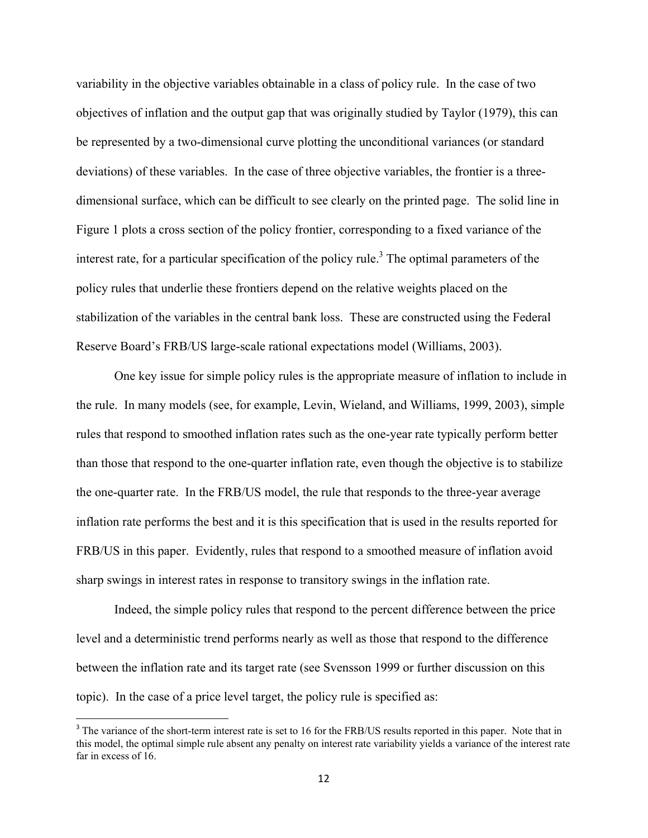variability in the objective variables obtainable in a class of policy rule. In the case of two objectives of inflation and the output gap that was originally studied by Taylor (1979), this can be represented by a two-dimensional curve plotting the unconditional variances (or standard deviations) of these variables. In the case of three objective variables, the frontier is a threedimensional surface, which can be difficult to see clearly on the printed page. The solid line in Figure 1 plots a cross section of the policy frontier, corresponding to a fixed variance of the interest rate, for a particular specification of the policy rule.<sup>3</sup> The optimal parameters of the policy rules that underlie these frontiers depend on the relative weights placed on the stabilization of the variables in the central bank loss. These are constructed using the Federal Reserve Board's FRB/US large-scale rational expectations model (Williams, 2003).

 One key issue for simple policy rules is the appropriate measure of inflation to include in the rule. In many models (see, for example, Levin, Wieland, and Williams, 1999, 2003), simple rules that respond to smoothed inflation rates such as the one-year rate typically perform better than those that respond to the one-quarter inflation rate, even though the objective is to stabilize the one-quarter rate. In the FRB/US model, the rule that responds to the three-year average inflation rate performs the best and it is this specification that is used in the results reported for FRB/US in this paper. Evidently, rules that respond to a smoothed measure of inflation avoid sharp swings in interest rates in response to transitory swings in the inflation rate.

Indeed, the simple policy rules that respond to the percent difference between the price level and a deterministic trend performs nearly as well as those that respond to the difference between the inflation rate and its target rate (see Svensson 1999 or further discussion on this topic). In the case of a price level target, the policy rule is specified as:

<sup>&</sup>lt;sup>3</sup> The variance of the short-term interest rate is set to 16 for the FRB/US results reported in this paper. Note that in this model, the optimal simple rule absent any penalty on interest rate variability yields a variance of the interest rate far in excess of 16.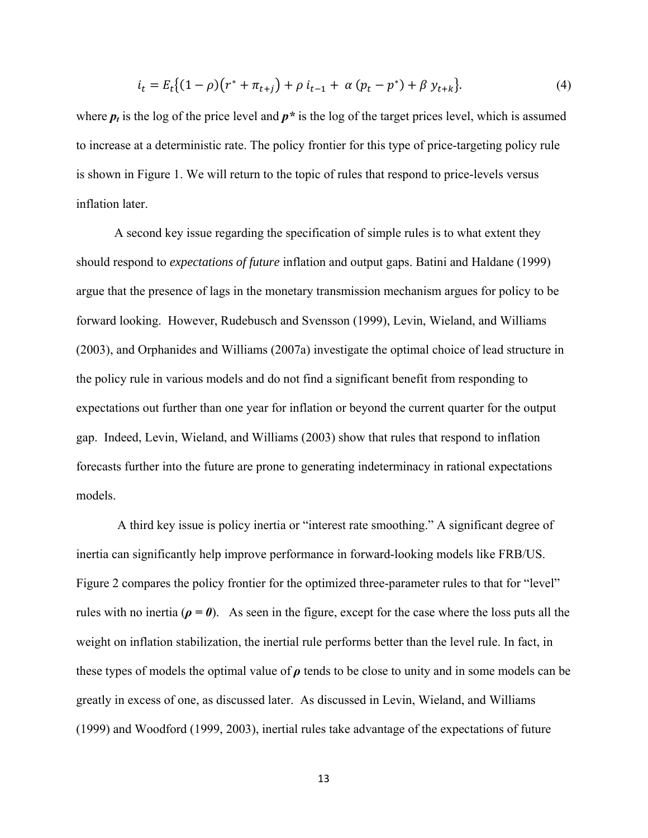$$
i_t = E_t \{(1 - \rho)(r^* + \pi_{t+j}) + \rho i_{t-1} + \alpha (p_t - p^*) + \beta y_{t+k}\}.
$$
\n(4)

where  $p_t$  is the log of the price level and  $p^*$  is the log of the target prices level, which is assumed to increase at a deterministic rate. The policy frontier for this type of price-targeting policy rule is shown in Figure 1. We will return to the topic of rules that respond to price-levels versus inflation later.

 A second key issue regarding the specification of simple rules is to what extent they should respond to *expectations of future* inflation and output gaps. Batini and Haldane (1999) argue that the presence of lags in the monetary transmission mechanism argues for policy to be forward looking. However, Rudebusch and Svensson (1999), Levin, Wieland, and Williams (2003), and Orphanides and Williams (2007a) investigate the optimal choice of lead structure in the policy rule in various models and do not find a significant benefit from responding to expectations out further than one year for inflation or beyond the current quarter for the output gap. Indeed, Levin, Wieland, and Williams (2003) show that rules that respond to inflation forecasts further into the future are prone to generating indeterminacy in rational expectations models.

 A third key issue is policy inertia or "interest rate smoothing." A significant degree of inertia can significantly help improve performance in forward-looking models like FRB/US. Figure 2 compares the policy frontier for the optimized three-parameter rules to that for "level" rules with no inertia ( $\rho = \theta$ ). As seen in the figure, except for the case where the loss puts all the weight on inflation stabilization, the inertial rule performs better than the level rule. In fact, in these types of models the optimal value of  $\rho$  tends to be close to unity and in some models can be greatly in excess of one, as discussed later. As discussed in Levin, Wieland, and Williams (1999) and Woodford (1999, 2003), inertial rules take advantage of the expectations of future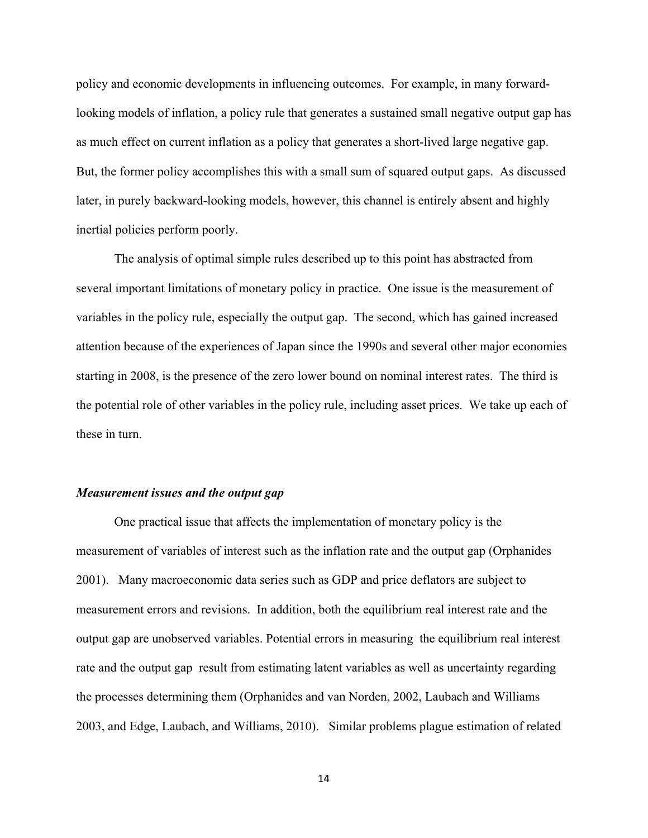policy and economic developments in influencing outcomes. For example, in many forwardlooking models of inflation, a policy rule that generates a sustained small negative output gap has as much effect on current inflation as a policy that generates a short-lived large negative gap. But, the former policy accomplishes this with a small sum of squared output gaps. As discussed later, in purely backward-looking models, however, this channel is entirely absent and highly inertial policies perform poorly.

 The analysis of optimal simple rules described up to this point has abstracted from several important limitations of monetary policy in practice. One issue is the measurement of variables in the policy rule, especially the output gap. The second, which has gained increased attention because of the experiences of Japan since the 1990s and several other major economies starting in 2008, is the presence of the zero lower bound on nominal interest rates. The third is the potential role of other variables in the policy rule, including asset prices. We take up each of these in turn.

#### *Measurement issues and the output gap*

 One practical issue that affects the implementation of monetary policy is the measurement of variables of interest such as the inflation rate and the output gap (Orphanides 2001). Many macroeconomic data series such as GDP and price deflators are subject to measurement errors and revisions. In addition, both the equilibrium real interest rate and the output gap are unobserved variables. Potential errors in measuring the equilibrium real interest rate and the output gap result from estimating latent variables as well as uncertainty regarding the processes determining them (Orphanides and van Norden, 2002, Laubach and Williams 2003, and Edge, Laubach, and Williams, 2010). Similar problems plague estimation of related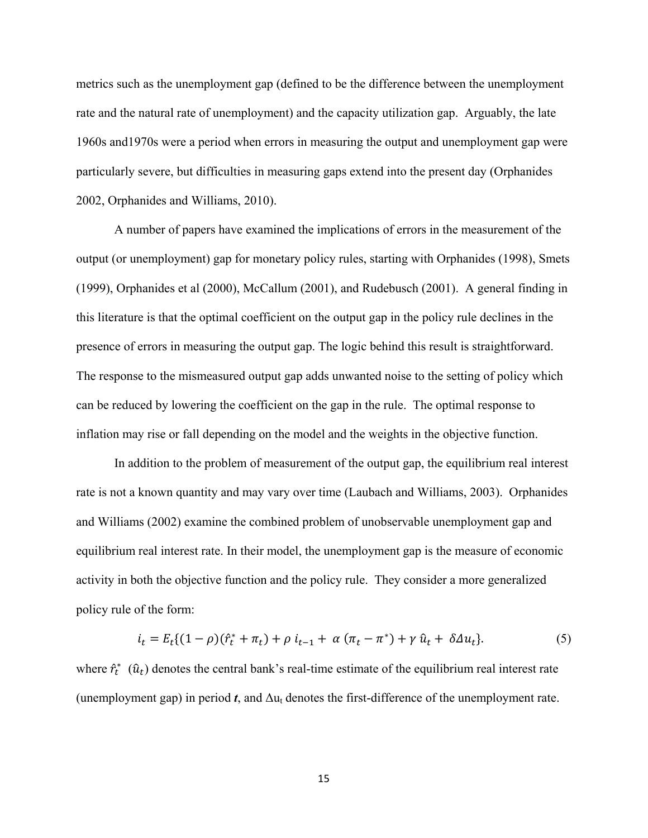metrics such as the unemployment gap (defined to be the difference between the unemployment rate and the natural rate of unemployment) and the capacity utilization gap. Arguably, the late 1960s and1970s were a period when errors in measuring the output and unemployment gap were particularly severe, but difficulties in measuring gaps extend into the present day (Orphanides 2002, Orphanides and Williams, 2010).

A number of papers have examined the implications of errors in the measurement of the output (or unemployment) gap for monetary policy rules, starting with Orphanides (1998), Smets (1999), Orphanides et al (2000), McCallum (2001), and Rudebusch (2001). A general finding in this literature is that the optimal coefficient on the output gap in the policy rule declines in the presence of errors in measuring the output gap. The logic behind this result is straightforward. The response to the mismeasured output gap adds unwanted noise to the setting of policy which can be reduced by lowering the coefficient on the gap in the rule. The optimal response to inflation may rise or fall depending on the model and the weights in the objective function.

In addition to the problem of measurement of the output gap, the equilibrium real interest rate is not a known quantity and may vary over time (Laubach and Williams, 2003). Orphanides and Williams (2002) examine the combined problem of unobservable unemployment gap and equilibrium real interest rate. In their model, the unemployment gap is the measure of economic activity in both the objective function and the policy rule. They consider a more generalized policy rule of the form:

$$
i_t = E_t((1 - \rho)(\hat{r}_t^* + \pi_t) + \rho i_{t-1} + \alpha (\pi_t - \pi^*) + \gamma \hat{u}_t + \delta \Delta u_t). \tag{5}
$$

where  $\hat{r}_t^*$  ( $\hat{u}_t$ ) denotes the central bank's real-time estimate of the equilibrium real interest rate (unemployment gap) in period  $t$ , and  $\Delta u_t$  denotes the first-difference of the unemployment rate.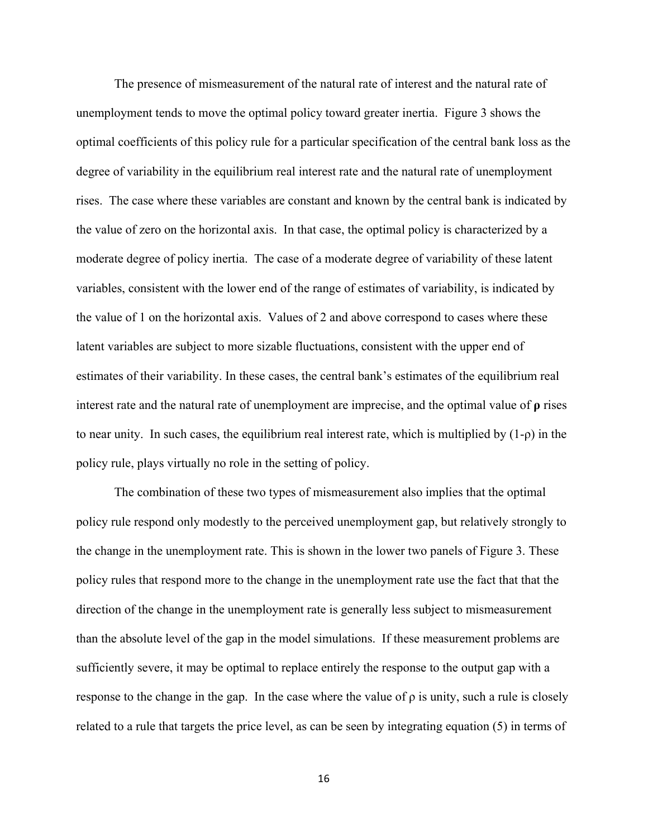The presence of mismeasurement of the natural rate of interest and the natural rate of unemployment tends to move the optimal policy toward greater inertia. Figure 3 shows the optimal coefficients of this policy rule for a particular specification of the central bank loss as the degree of variability in the equilibrium real interest rate and the natural rate of unemployment rises. The case where these variables are constant and known by the central bank is indicated by the value of zero on the horizontal axis. In that case, the optimal policy is characterized by a moderate degree of policy inertia. The case of a moderate degree of variability of these latent variables, consistent with the lower end of the range of estimates of variability, is indicated by the value of 1 on the horizontal axis. Values of 2 and above correspond to cases where these latent variables are subject to more sizable fluctuations, consistent with the upper end of estimates of their variability. In these cases, the central bank's estimates of the equilibrium real interest rate and the natural rate of unemployment are imprecise, and the optimal value of **ρ** rises to near unity. In such cases, the equilibrium real interest rate, which is multiplied by (1-ρ) in the policy rule, plays virtually no role in the setting of policy.

The combination of these two types of mismeasurement also implies that the optimal policy rule respond only modestly to the perceived unemployment gap, but relatively strongly to the change in the unemployment rate. This is shown in the lower two panels of Figure 3. These policy rules that respond more to the change in the unemployment rate use the fact that that the direction of the change in the unemployment rate is generally less subject to mismeasurement than the absolute level of the gap in the model simulations. If these measurement problems are sufficiently severe, it may be optimal to replace entirely the response to the output gap with a response to the change in the gap. In the case where the value of  $\rho$  is unity, such a rule is closely related to a rule that targets the price level, as can be seen by integrating equation (5) in terms of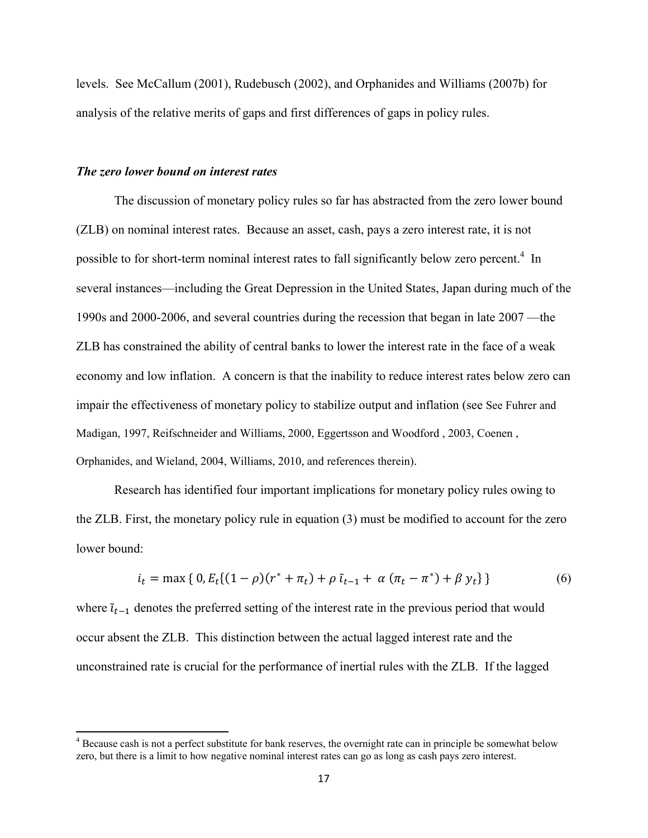levels. See McCallum (2001), Rudebusch (2002), and Orphanides and Williams (2007b) for analysis of the relative merits of gaps and first differences of gaps in policy rules.

#### *The zero lower bound on interest rates*

The discussion of monetary policy rules so far has abstracted from the zero lower bound (ZLB) on nominal interest rates. Because an asset, cash, pays a zero interest rate, it is not possible to for short-term nominal interest rates to fall significantly below zero percent.<sup>4</sup> In several instances—including the Great Depression in the United States, Japan during much of the 1990s and 2000-2006, and several countries during the recession that began in late 2007 —the ZLB has constrained the ability of central banks to lower the interest rate in the face of a weak economy and low inflation. A concern is that the inability to reduce interest rates below zero can impair the effectiveness of monetary policy to stabilize output and inflation (see See Fuhrer and Madigan, 1997, Reifschneider and Williams, 2000, Eggertsson and Woodford , 2003, Coenen , Orphanides, and Wieland, 2004, Williams, 2010, and references therein).

 Research has identified four important implications for monetary policy rules owing to the ZLB. First, the monetary policy rule in equation (3) must be modified to account for the zero lower bound:

$$
i_t = \max\{0, E_t\{(1-\rho)(r^* + \pi_t) + \rho \tilde{i}_{t-1} + \alpha (\pi_t - \pi^*) + \beta y_t\}\}\
$$
(6)

where  $\tilde{\iota}_{t-1}$  denotes the preferred setting of the interest rate in the previous period that would occur absent the ZLB. This distinction between the actual lagged interest rate and the unconstrained rate is crucial for the performance of inertial rules with the ZLB. If the lagged

<sup>&</sup>lt;sup>4</sup> Because cash is not a perfect substitute for bank reserves, the overnight rate can in principle be somewhat below zero, but there is a limit to how negative nominal interest rates can go as long as cash pays zero interest.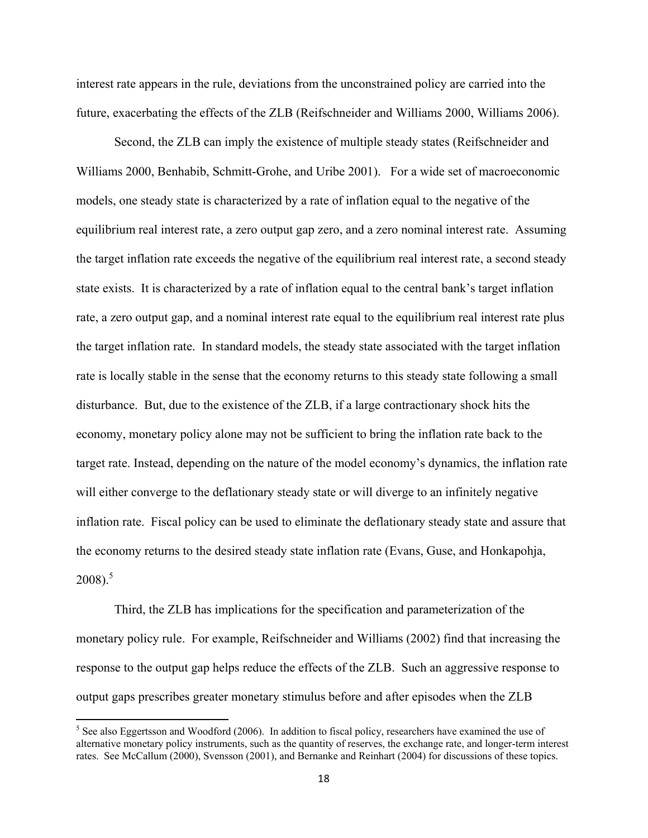interest rate appears in the rule, deviations from the unconstrained policy are carried into the future, exacerbating the effects of the ZLB (Reifschneider and Williams 2000, Williams 2006).

Second, the ZLB can imply the existence of multiple steady states (Reifschneider and Williams 2000, Benhabib, Schmitt-Grohe, and Uribe 2001). For a wide set of macroeconomic models, one steady state is characterized by a rate of inflation equal to the negative of the equilibrium real interest rate, a zero output gap zero, and a zero nominal interest rate. Assuming the target inflation rate exceeds the negative of the equilibrium real interest rate, a second steady state exists. It is characterized by a rate of inflation equal to the central bank's target inflation rate, a zero output gap, and a nominal interest rate equal to the equilibrium real interest rate plus the target inflation rate. In standard models, the steady state associated with the target inflation rate is locally stable in the sense that the economy returns to this steady state following a small disturbance. But, due to the existence of the ZLB, if a large contractionary shock hits the economy, monetary policy alone may not be sufficient to bring the inflation rate back to the target rate. Instead, depending on the nature of the model economy's dynamics, the inflation rate will either converge to the deflationary steady state or will diverge to an infinitely negative inflation rate. Fiscal policy can be used to eliminate the deflationary steady state and assure that the economy returns to the desired steady state inflation rate (Evans, Guse, and Honkapohja,  $2008$ ).<sup>5</sup>

Third, the ZLB has implications for the specification and parameterization of the monetary policy rule. For example, Reifschneider and Williams (2002) find that increasing the response to the output gap helps reduce the effects of the ZLB. Such an aggressive response to output gaps prescribes greater monetary stimulus before and after episodes when the ZLB

 $<sup>5</sup>$  See also Eggertsson and Woodford (2006). In addition to fiscal policy, researchers have examined the use of</sup> alternative monetary policy instruments, such as the quantity of reserves, the exchange rate, and longer-term interest rates. See McCallum (2000), Svensson (2001), and Bernanke and Reinhart (2004) for discussions of these topics.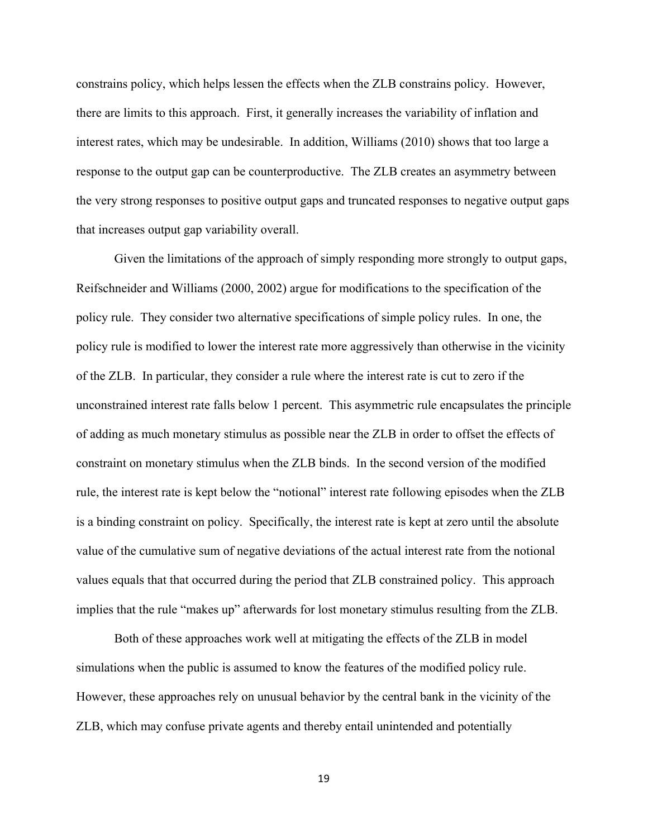constrains policy, which helps lessen the effects when the ZLB constrains policy. However, there are limits to this approach. First, it generally increases the variability of inflation and interest rates, which may be undesirable. In addition, Williams (2010) shows that too large a response to the output gap can be counterproductive. The ZLB creates an asymmetry between the very strong responses to positive output gaps and truncated responses to negative output gaps that increases output gap variability overall.

Given the limitations of the approach of simply responding more strongly to output gaps, Reifschneider and Williams (2000, 2002) argue for modifications to the specification of the policy rule. They consider two alternative specifications of simple policy rules. In one, the policy rule is modified to lower the interest rate more aggressively than otherwise in the vicinity of the ZLB. In particular, they consider a rule where the interest rate is cut to zero if the unconstrained interest rate falls below 1 percent. This asymmetric rule encapsulates the principle of adding as much monetary stimulus as possible near the ZLB in order to offset the effects of constraint on monetary stimulus when the ZLB binds. In the second version of the modified rule, the interest rate is kept below the "notional" interest rate following episodes when the ZLB is a binding constraint on policy. Specifically, the interest rate is kept at zero until the absolute value of the cumulative sum of negative deviations of the actual interest rate from the notional values equals that that occurred during the period that ZLB constrained policy. This approach implies that the rule "makes up" afterwards for lost monetary stimulus resulting from the ZLB.

Both of these approaches work well at mitigating the effects of the ZLB in model simulations when the public is assumed to know the features of the modified policy rule. However, these approaches rely on unusual behavior by the central bank in the vicinity of the ZLB, which may confuse private agents and thereby entail unintended and potentially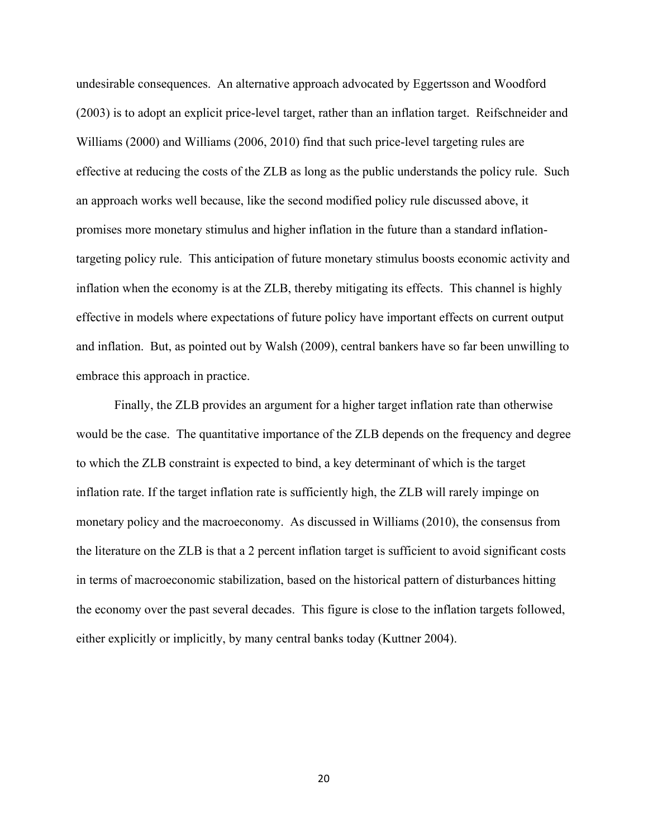undesirable consequences. An alternative approach advocated by Eggertsson and Woodford (2003) is to adopt an explicit price-level target, rather than an inflation target. Reifschneider and Williams (2000) and Williams (2006, 2010) find that such price-level targeting rules are effective at reducing the costs of the ZLB as long as the public understands the policy rule. Such an approach works well because, like the second modified policy rule discussed above, it promises more monetary stimulus and higher inflation in the future than a standard inflationtargeting policy rule. This anticipation of future monetary stimulus boosts economic activity and inflation when the economy is at the ZLB, thereby mitigating its effects. This channel is highly effective in models where expectations of future policy have important effects on current output and inflation. But, as pointed out by Walsh (2009), central bankers have so far been unwilling to embrace this approach in practice.

Finally, the ZLB provides an argument for a higher target inflation rate than otherwise would be the case. The quantitative importance of the ZLB depends on the frequency and degree to which the ZLB constraint is expected to bind, a key determinant of which is the target inflation rate. If the target inflation rate is sufficiently high, the ZLB will rarely impinge on monetary policy and the macroeconomy. As discussed in Williams (2010), the consensus from the literature on the ZLB is that a 2 percent inflation target is sufficient to avoid significant costs in terms of macroeconomic stabilization, based on the historical pattern of disturbances hitting the economy over the past several decades. This figure is close to the inflation targets followed, either explicitly or implicitly, by many central banks today (Kuttner 2004).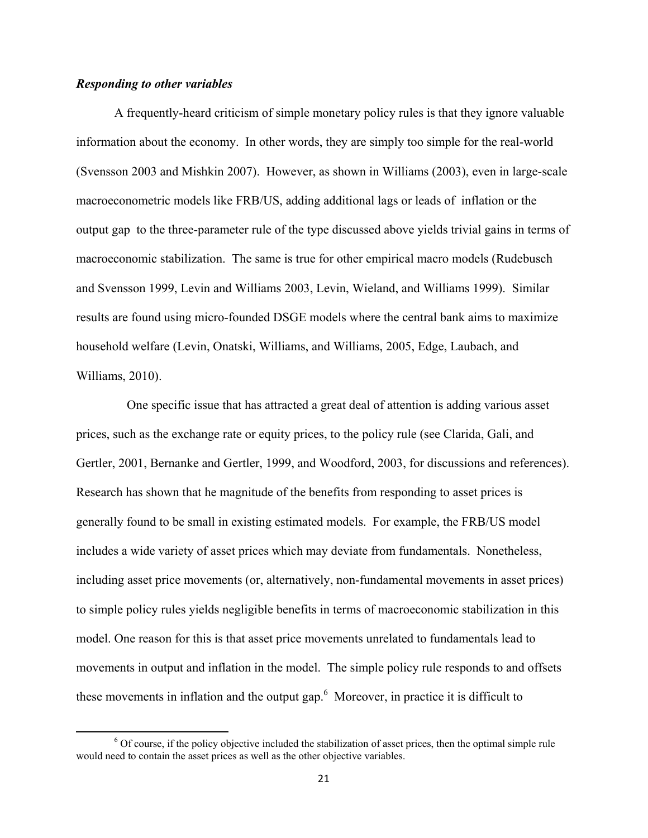# *Responding to other variables*

A frequently-heard criticism of simple monetary policy rules is that they ignore valuable information about the economy. In other words, they are simply too simple for the real-world (Svensson 2003 and Mishkin 2007). However, as shown in Williams (2003), even in large-scale macroeconometric models like FRB/US, adding additional lags or leads of inflation or the output gap to the three-parameter rule of the type discussed above yields trivial gains in terms of macroeconomic stabilization. The same is true for other empirical macro models (Rudebusch and Svensson 1999, Levin and Williams 2003, Levin, Wieland, and Williams 1999). Similar results are found using micro-founded DSGE models where the central bank aims to maximize household welfare (Levin, Onatski, Williams, and Williams, 2005, Edge, Laubach, and Williams, 2010).

 One specific issue that has attracted a great deal of attention is adding various asset prices, such as the exchange rate or equity prices, to the policy rule (see Clarida, Gali, and Gertler, 2001, Bernanke and Gertler, 1999, and Woodford, 2003, for discussions and references). Research has shown that he magnitude of the benefits from responding to asset prices is generally found to be small in existing estimated models. For example, the FRB/US model includes a wide variety of asset prices which may deviate from fundamentals. Nonetheless, including asset price movements (or, alternatively, non-fundamental movements in asset prices) to simple policy rules yields negligible benefits in terms of macroeconomic stabilization in this model. One reason for this is that asset price movements unrelated to fundamentals lead to movements in output and inflation in the model. The simple policy rule responds to and offsets these movements in inflation and the output gap. $<sup>6</sup>$  Moreover, in practice it is difficult to</sup>

<sup>&</sup>lt;sup>6</sup> Of course, if the policy objective included the stabilization of asset prices, then the optimal simple rule would need to contain the asset prices as well as the other objective variables.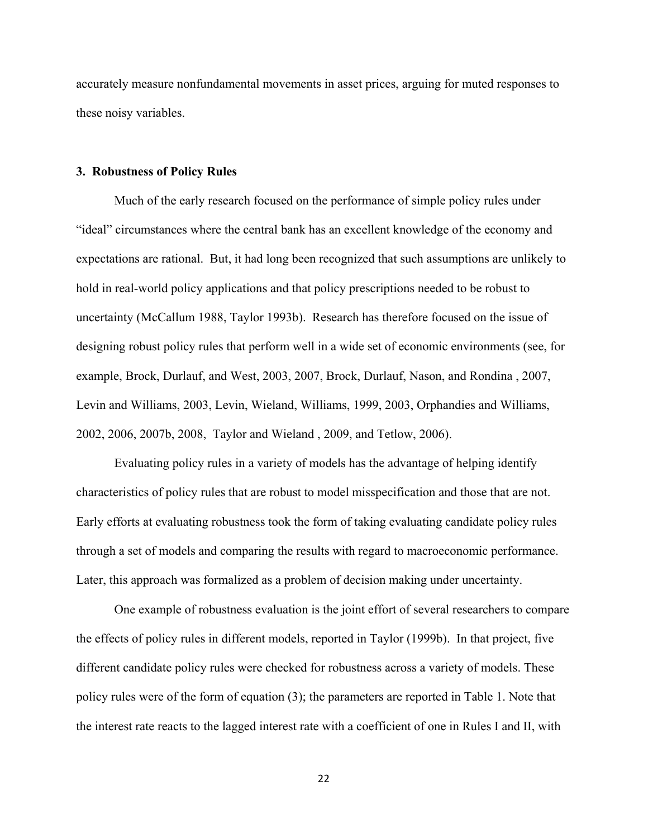accurately measure nonfundamental movements in asset prices, arguing for muted responses to these noisy variables.

#### **3. Robustness of Policy Rules**

Much of the early research focused on the performance of simple policy rules under "ideal" circumstances where the central bank has an excellent knowledge of the economy and expectations are rational. But, it had long been recognized that such assumptions are unlikely to hold in real-world policy applications and that policy prescriptions needed to be robust to uncertainty (McCallum 1988, Taylor 1993b). Research has therefore focused on the issue of designing robust policy rules that perform well in a wide set of economic environments (see, for example, Brock, Durlauf, and West, 2003, 2007, Brock, Durlauf, Nason, and Rondina , 2007, Levin and Williams, 2003, Levin, Wieland, Williams, 1999, 2003, Orphandies and Williams, 2002, 2006, 2007b, 2008, Taylor and Wieland , 2009, and Tetlow, 2006).

Evaluating policy rules in a variety of models has the advantage of helping identify characteristics of policy rules that are robust to model misspecification and those that are not. Early efforts at evaluating robustness took the form of taking evaluating candidate policy rules through a set of models and comparing the results with regard to macroeconomic performance. Later, this approach was formalized as a problem of decision making under uncertainty.

One example of robustness evaluation is the joint effort of several researchers to compare the effects of policy rules in different models, reported in Taylor (1999b). In that project, five different candidate policy rules were checked for robustness across a variety of models. These policy rules were of the form of equation (3); the parameters are reported in Table 1. Note that the interest rate reacts to the lagged interest rate with a coefficient of one in Rules I and II, with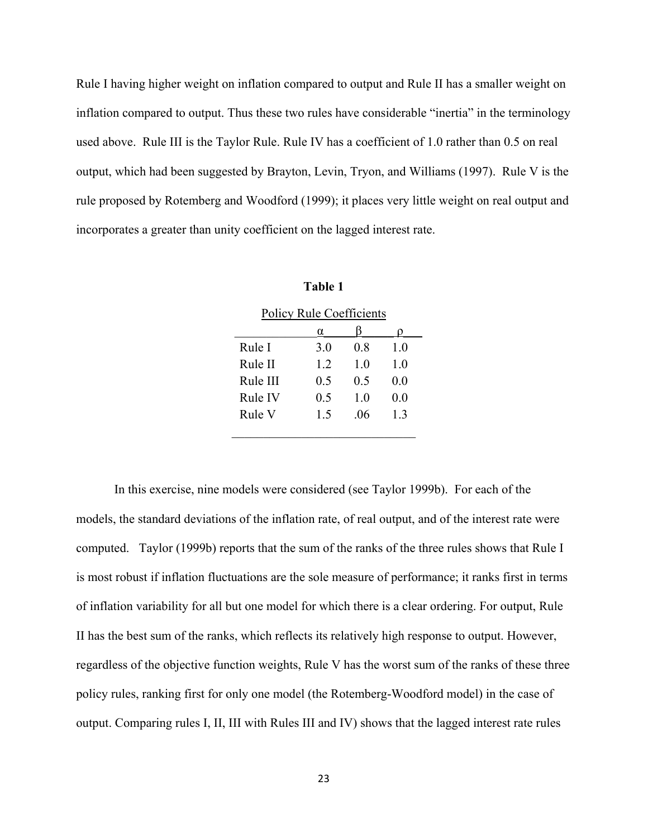Rule I having higher weight on inflation compared to output and Rule II has a smaller weight on inflation compared to output. Thus these two rules have considerable "inertia" in the terminology used above. Rule III is the Taylor Rule. Rule IV has a coefficient of 1.0 rather than 0.5 on real output, which had been suggested by Brayton, Levin, Tryon, and Williams (1997). Rule V is the rule proposed by Rotemberg and Woodford (1999); it places very little weight on real output and incorporates a greater than unity coefficient on the lagged interest rate.

| <b>Policy Rule Coefficients</b> |     |                |     |  |
|---------------------------------|-----|----------------|-----|--|
|                                 | α   |                |     |  |
| Rule I                          | 3.0 | 08             | 10  |  |
| Rule II                         | 12  | 1 <sub>0</sub> | 10  |  |
| Rule III                        | 0.5 | 0.5            | 0.0 |  |
| Rule IV                         | 0.5 | 10             | 0.0 |  |
| Rule V                          | 1.5 | .06            | 13  |  |
|                                 |     |                |     |  |

| ınıo<br>o<br>и |  |
|----------------|--|
|                |  |
|                |  |

In this exercise, nine models were considered (see Taylor 1999b). For each of the models, the standard deviations of the inflation rate, of real output, and of the interest rate were computed. Taylor (1999b) reports that the sum of the ranks of the three rules shows that Rule I is most robust if inflation fluctuations are the sole measure of performance; it ranks first in terms of inflation variability for all but one model for which there is a clear ordering. For output, Rule II has the best sum of the ranks, which reflects its relatively high response to output. However, regardless of the objective function weights, Rule V has the worst sum of the ranks of these three policy rules, ranking first for only one model (the Rotemberg-Woodford model) in the case of output. Comparing rules I, II, III with Rules III and IV) shows that the lagged interest rate rules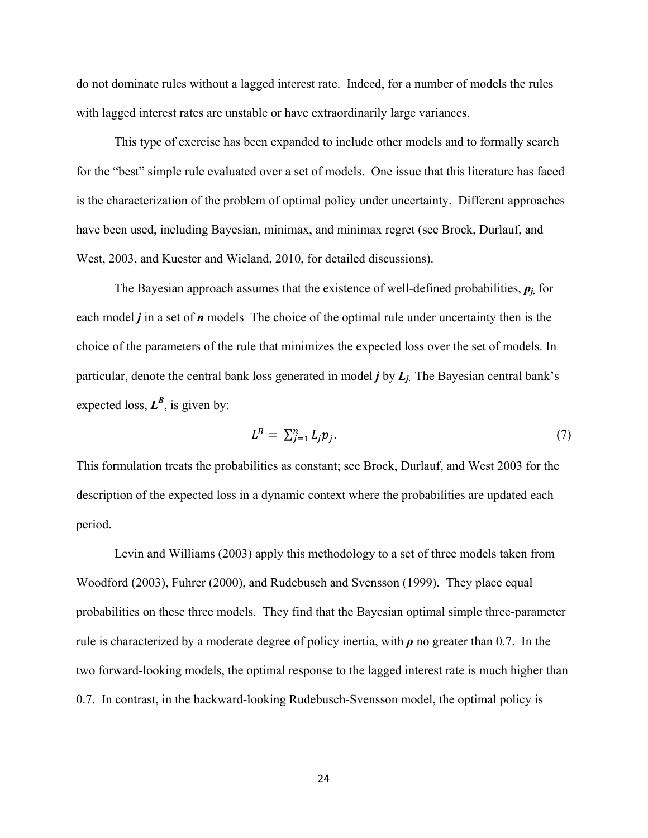do not dominate rules without a lagged interest rate. Indeed, for a number of models the rules with lagged interest rates are unstable or have extraordinarily large variances.

 This type of exercise has been expanded to include other models and to formally search for the "best" simple rule evaluated over a set of models. One issue that this literature has faced is the characterization of the problem of optimal policy under uncertainty. Different approaches have been used, including Bayesian, minimax, and minimax regret (see Brock, Durlauf, and West, 2003, and Kuester and Wieland, 2010, for detailed discussions).

The Bayesian approach assumes that the existence of well-defined probabilities,  $p_i$ , for each model *j* in a set of *n* models The choice of the optimal rule under uncertainty then is the choice of the parameters of the rule that minimizes the expected loss over the set of models. In particular, denote the central bank loss generated in model *j* by *Lj*. The Bayesian central bank's expected loss,  $L^B$ , is given by:

$$
L^B = \sum_{j=1}^n L_j p_j. \tag{7}
$$

This formulation treats the probabilities as constant; see Brock, Durlauf, and West 2003 for the description of the expected loss in a dynamic context where the probabilities are updated each period.

Levin and Williams (2003) apply this methodology to a set of three models taken from Woodford (2003), Fuhrer (2000), and Rudebusch and Svensson (1999). They place equal probabilities on these three models. They find that the Bayesian optimal simple three-parameter rule is characterized by a moderate degree of policy inertia, with *ρ* no greater than 0.7. In the two forward-looking models, the optimal response to the lagged interest rate is much higher than 0.7. In contrast, in the backward-looking Rudebusch-Svensson model, the optimal policy is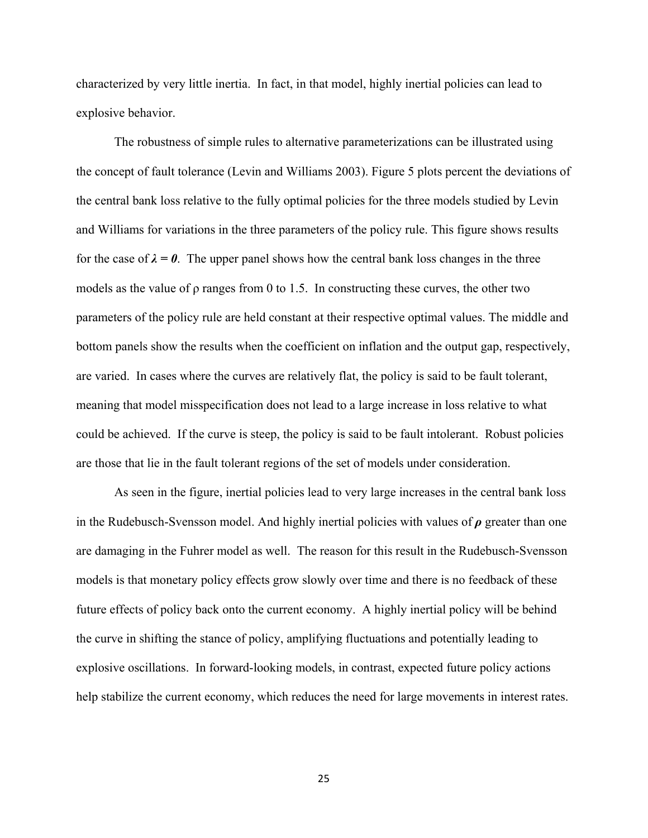characterized by very little inertia. In fact, in that model, highly inertial policies can lead to explosive behavior.

The robustness of simple rules to alternative parameterizations can be illustrated using the concept of fault tolerance (Levin and Williams 2003). Figure 5 plots percent the deviations of the central bank loss relative to the fully optimal policies for the three models studied by Levin and Williams for variations in the three parameters of the policy rule. This figure shows results for the case of  $\lambda = \theta$ . The upper panel shows how the central bank loss changes in the three models as the value of ρ ranges from 0 to 1.5. In constructing these curves, the other two parameters of the policy rule are held constant at their respective optimal values. The middle and bottom panels show the results when the coefficient on inflation and the output gap, respectively, are varied. In cases where the curves are relatively flat, the policy is said to be fault tolerant, meaning that model misspecification does not lead to a large increase in loss relative to what could be achieved. If the curve is steep, the policy is said to be fault intolerant. Robust policies are those that lie in the fault tolerant regions of the set of models under consideration.

As seen in the figure, inertial policies lead to very large increases in the central bank loss in the Rudebusch-Svensson model. And highly inertial policies with values of *ρ* greater than one are damaging in the Fuhrer model as well. The reason for this result in the Rudebusch-Svensson models is that monetary policy effects grow slowly over time and there is no feedback of these future effects of policy back onto the current economy. A highly inertial policy will be behind the curve in shifting the stance of policy, amplifying fluctuations and potentially leading to explosive oscillations. In forward-looking models, in contrast, expected future policy actions help stabilize the current economy, which reduces the need for large movements in interest rates.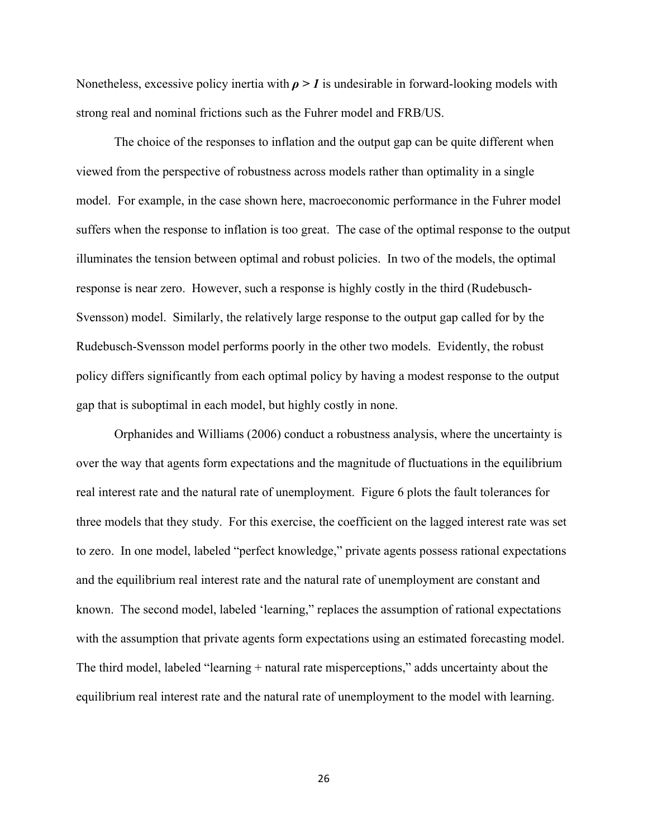Nonetheless, excessive policy inertia with  $\rho > 1$  is undesirable in forward-looking models with strong real and nominal frictions such as the Fuhrer model and FRB/US.

The choice of the responses to inflation and the output gap can be quite different when viewed from the perspective of robustness across models rather than optimality in a single model. For example, in the case shown here, macroeconomic performance in the Fuhrer model suffers when the response to inflation is too great. The case of the optimal response to the output illuminates the tension between optimal and robust policies. In two of the models, the optimal response is near zero. However, such a response is highly costly in the third (Rudebusch-Svensson) model. Similarly, the relatively large response to the output gap called for by the Rudebusch-Svensson model performs poorly in the other two models. Evidently, the robust policy differs significantly from each optimal policy by having a modest response to the output gap that is suboptimal in each model, but highly costly in none.

 Orphanides and Williams (2006) conduct a robustness analysis, where the uncertainty is over the way that agents form expectations and the magnitude of fluctuations in the equilibrium real interest rate and the natural rate of unemployment. Figure 6 plots the fault tolerances for three models that they study. For this exercise, the coefficient on the lagged interest rate was set to zero. In one model, labeled "perfect knowledge," private agents possess rational expectations and the equilibrium real interest rate and the natural rate of unemployment are constant and known. The second model, labeled 'learning," replaces the assumption of rational expectations with the assumption that private agents form expectations using an estimated forecasting model. The third model, labeled "learning + natural rate misperceptions," adds uncertainty about the equilibrium real interest rate and the natural rate of unemployment to the model with learning.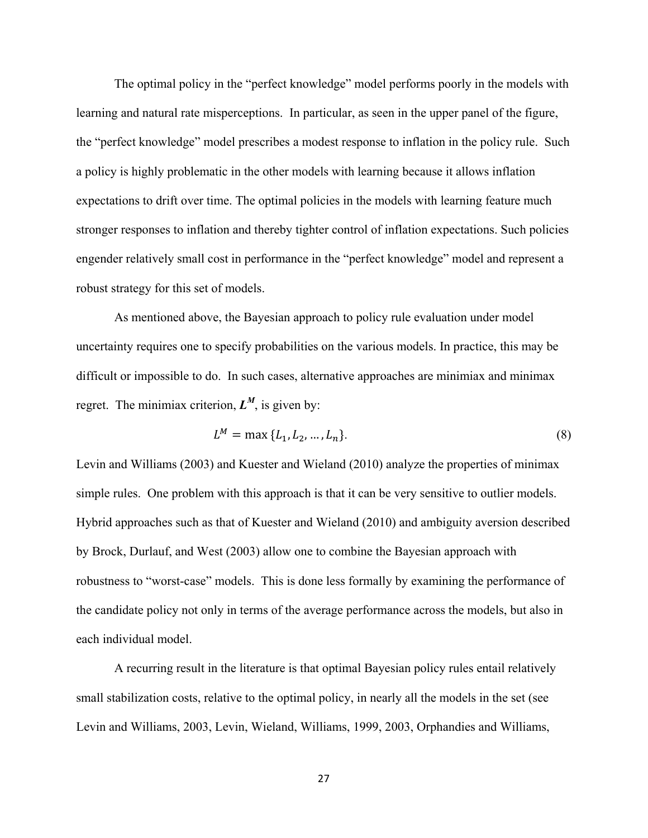The optimal policy in the "perfect knowledge" model performs poorly in the models with learning and natural rate misperceptions. In particular, as seen in the upper panel of the figure, the "perfect knowledge" model prescribes a modest response to inflation in the policy rule. Such a policy is highly problematic in the other models with learning because it allows inflation expectations to drift over time. The optimal policies in the models with learning feature much stronger responses to inflation and thereby tighter control of inflation expectations. Such policies engender relatively small cost in performance in the "perfect knowledge" model and represent a robust strategy for this set of models.

 As mentioned above, the Bayesian approach to policy rule evaluation under model uncertainty requires one to specify probabilities on the various models. In practice, this may be difficult or impossible to do. In such cases, alternative approaches are minimiax and minimax regret. The minimiax criterion,  $L^M$ , is given by:

$$
L^M = \max \{ L_1, L_2, \dots, L_n \}.
$$
 (8)

Levin and Williams (2003) and Kuester and Wieland (2010) analyze the properties of minimax simple rules. One problem with this approach is that it can be very sensitive to outlier models. Hybrid approaches such as that of Kuester and Wieland (2010) and ambiguity aversion described by Brock, Durlauf, and West (2003) allow one to combine the Bayesian approach with robustness to "worst-case" models. This is done less formally by examining the performance of the candidate policy not only in terms of the average performance across the models, but also in each individual model.

A recurring result in the literature is that optimal Bayesian policy rules entail relatively small stabilization costs, relative to the optimal policy, in nearly all the models in the set (see Levin and Williams, 2003, Levin, Wieland, Williams, 1999, 2003, Orphandies and Williams,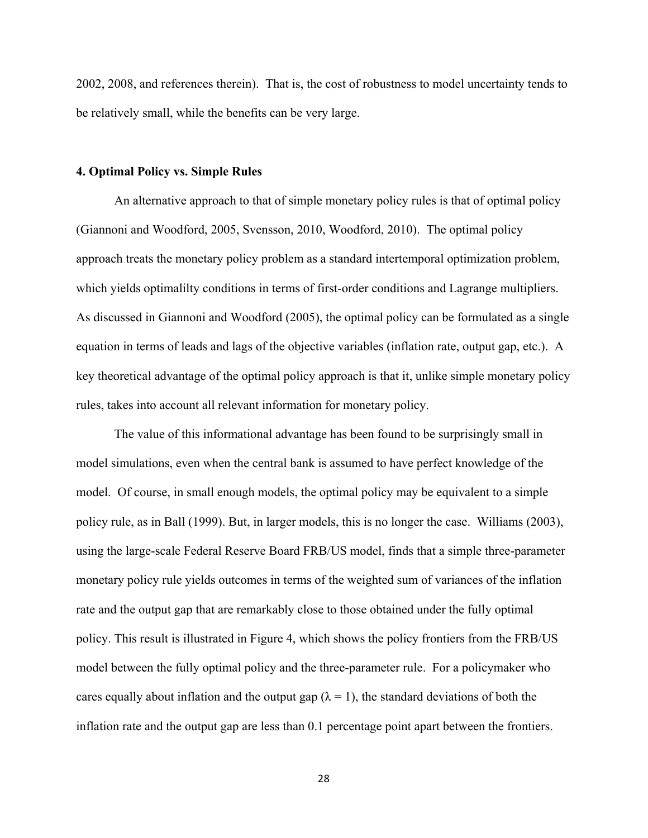2002, 2008, and references therein). That is, the cost of robustness to model uncertainty tends to be relatively small, while the benefits can be very large.

#### **4. Optimal Policy vs. Simple Rules**

 An alternative approach to that of simple monetary policy rules is that of optimal policy (Giannoni and Woodford, 2005, Svensson, 2010, Woodford, 2010). The optimal policy approach treats the monetary policy problem as a standard intertemporal optimization problem, which yields optimalilty conditions in terms of first-order conditions and Lagrange multipliers. As discussed in Giannoni and Woodford (2005), the optimal policy can be formulated as a single equation in terms of leads and lags of the objective variables (inflation rate, output gap, etc.). A key theoretical advantage of the optimal policy approach is that it, unlike simple monetary policy rules, takes into account all relevant information for monetary policy.

The value of this informational advantage has been found to be surprisingly small in model simulations, even when the central bank is assumed to have perfect knowledge of the model. Of course, in small enough models, the optimal policy may be equivalent to a simple policy rule, as in Ball (1999). But, in larger models, this is no longer the case. Williams (2003), using the large-scale Federal Reserve Board FRB/US model, finds that a simple three-parameter monetary policy rule yields outcomes in terms of the weighted sum of variances of the inflation rate and the output gap that are remarkably close to those obtained under the fully optimal policy. This result is illustrated in Figure 4, which shows the policy frontiers from the FRB/US model between the fully optimal policy and the three-parameter rule. For a policymaker who cares equally about inflation and the output gap ( $\lambda = 1$ ), the standard deviations of both the inflation rate and the output gap are less than 0.1 percentage point apart between the frontiers.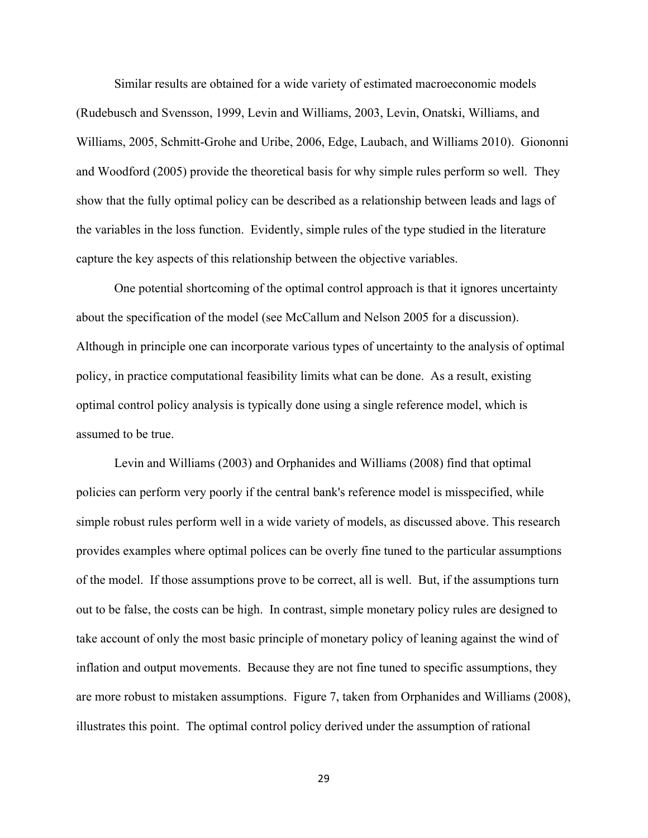Similar results are obtained for a wide variety of estimated macroeconomic models (Rudebusch and Svensson, 1999, Levin and Williams, 2003, Levin, Onatski, Williams, and Williams, 2005, Schmitt-Grohe and Uribe, 2006, Edge, Laubach, and Williams 2010). Giononni and Woodford (2005) provide the theoretical basis for why simple rules perform so well. They show that the fully optimal policy can be described as a relationship between leads and lags of the variables in the loss function. Evidently, simple rules of the type studied in the literature capture the key aspects of this relationship between the objective variables.

One potential shortcoming of the optimal control approach is that it ignores uncertainty about the specification of the model (see McCallum and Nelson 2005 for a discussion). Although in principle one can incorporate various types of uncertainty to the analysis of optimal policy, in practice computational feasibility limits what can be done. As a result, existing optimal control policy analysis is typically done using a single reference model, which is assumed to be true.

Levin and Williams (2003) and Orphanides and Williams (2008) find that optimal policies can perform very poorly if the central bank's reference model is misspecified, while simple robust rules perform well in a wide variety of models, as discussed above. This research provides examples where optimal polices can be overly fine tuned to the particular assumptions of the model. If those assumptions prove to be correct, all is well. But, if the assumptions turn out to be false, the costs can be high. In contrast, simple monetary policy rules are designed to take account of only the most basic principle of monetary policy of leaning against the wind of inflation and output movements. Because they are not fine tuned to specific assumptions, they are more robust to mistaken assumptions. Figure 7, taken from Orphanides and Williams (2008), illustrates this point. The optimal control policy derived under the assumption of rational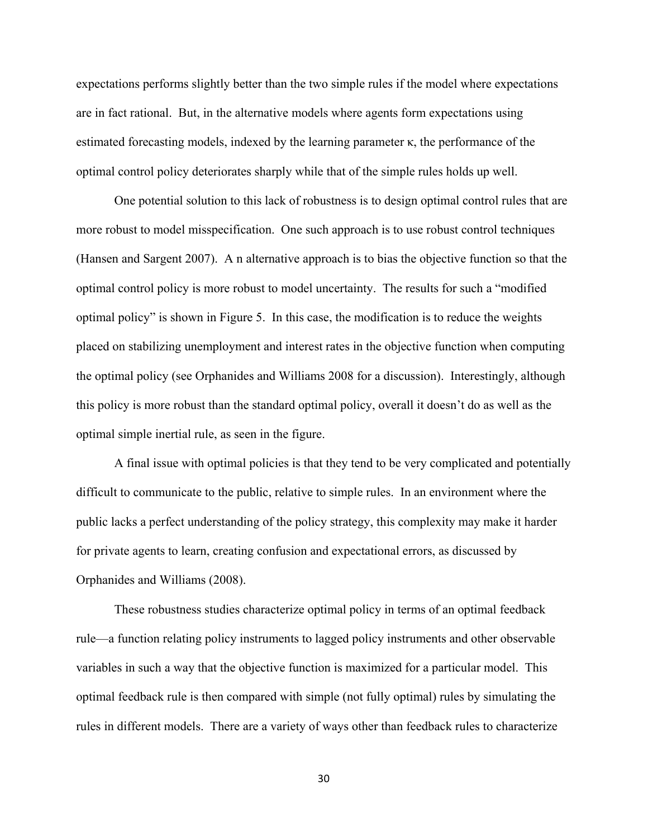expectations performs slightly better than the two simple rules if the model where expectations are in fact rational. But, in the alternative models where agents form expectations using estimated forecasting models, indexed by the learning parameter  $\kappa$ , the performance of the optimal control policy deteriorates sharply while that of the simple rules holds up well.

One potential solution to this lack of robustness is to design optimal control rules that are more robust to model misspecification. One such approach is to use robust control techniques (Hansen and Sargent 2007). A n alternative approach is to bias the objective function so that the optimal control policy is more robust to model uncertainty. The results for such a "modified optimal policy" is shown in Figure 5. In this case, the modification is to reduce the weights placed on stabilizing unemployment and interest rates in the objective function when computing the optimal policy (see Orphanides and Williams 2008 for a discussion). Interestingly, although this policy is more robust than the standard optimal policy, overall it doesn't do as well as the optimal simple inertial rule, as seen in the figure.

A final issue with optimal policies is that they tend to be very complicated and potentially difficult to communicate to the public, relative to simple rules. In an environment where the public lacks a perfect understanding of the policy strategy, this complexity may make it harder for private agents to learn, creating confusion and expectational errors, as discussed by Orphanides and Williams (2008).

These robustness studies characterize optimal policy in terms of an optimal feedback rule—a function relating policy instruments to lagged policy instruments and other observable variables in such a way that the objective function is maximized for a particular model. This optimal feedback rule is then compared with simple (not fully optimal) rules by simulating the rules in different models. There are a variety of ways other than feedback rules to characterize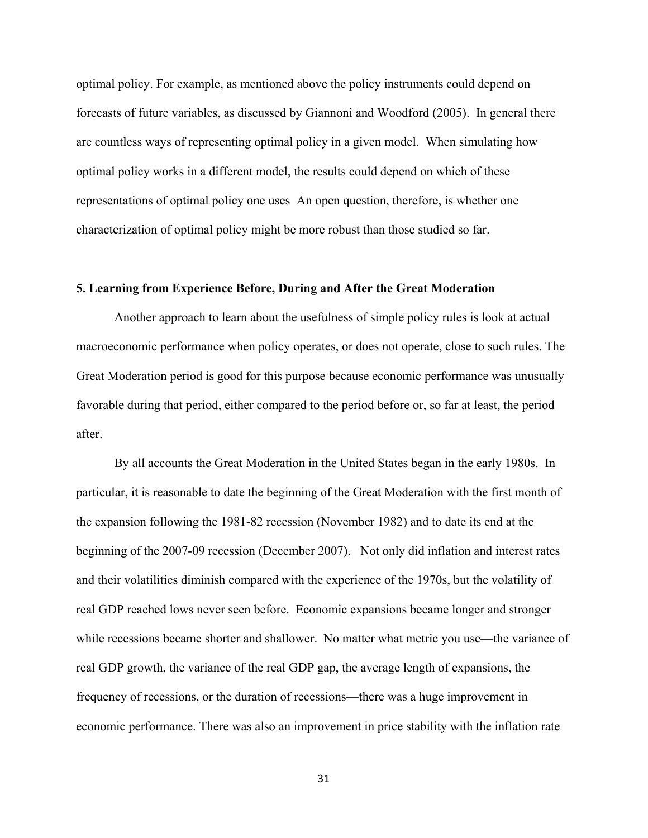optimal policy. For example, as mentioned above the policy instruments could depend on forecasts of future variables, as discussed by Giannoni and Woodford (2005). In general there are countless ways of representing optimal policy in a given model. When simulating how optimal policy works in a different model, the results could depend on which of these representations of optimal policy one uses An open question, therefore, is whether one characterization of optimal policy might be more robust than those studied so far.

# **5. Learning from Experience Before, During and After the Great Moderation**

 Another approach to learn about the usefulness of simple policy rules is look at actual macroeconomic performance when policy operates, or does not operate, close to such rules. The Great Moderation period is good for this purpose because economic performance was unusually favorable during that period, either compared to the period before or, so far at least, the period after.

By all accounts the Great Moderation in the United States began in the early 1980s. In particular, it is reasonable to date the beginning of the Great Moderation with the first month of the expansion following the 1981-82 recession (November 1982) and to date its end at the beginning of the 2007-09 recession (December 2007). Not only did inflation and interest rates and their volatilities diminish compared with the experience of the 1970s, but the volatility of real GDP reached lows never seen before. Economic expansions became longer and stronger while recessions became shorter and shallower. No matter what metric you use—the variance of real GDP growth, the variance of the real GDP gap, the average length of expansions, the frequency of recessions, or the duration of recessions—there was a huge improvement in economic performance. There was also an improvement in price stability with the inflation rate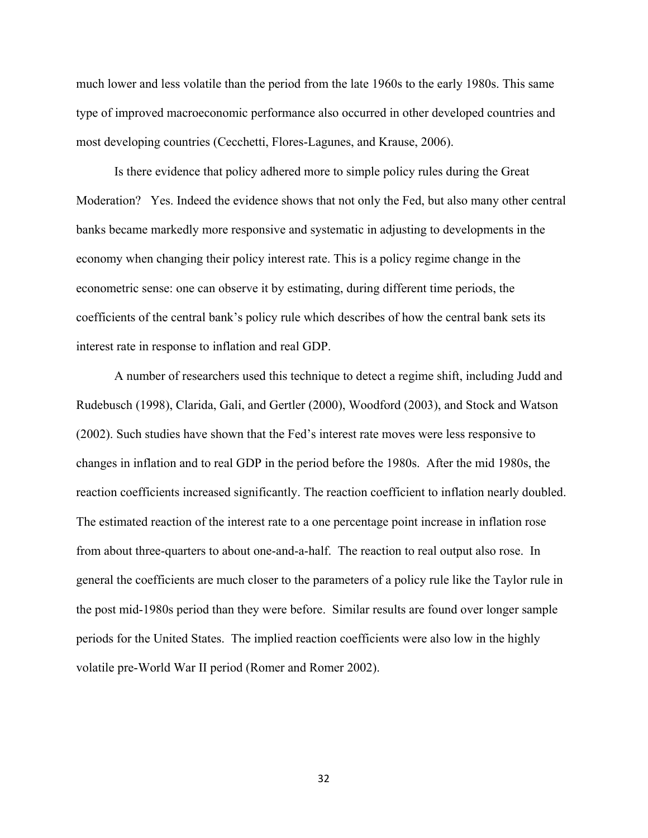much lower and less volatile than the period from the late 1960s to the early 1980s. This same type of improved macroeconomic performance also occurred in other developed countries and most developing countries (Cecchetti, Flores-Lagunes, and Krause, 2006).

 Is there evidence that policy adhered more to simple policy rules during the Great Moderation? Yes. Indeed the evidence shows that not only the Fed, but also many other central banks became markedly more responsive and systematic in adjusting to developments in the economy when changing their policy interest rate. This is a policy regime change in the econometric sense: one can observe it by estimating, during different time periods, the coefficients of the central bank's policy rule which describes of how the central bank sets its interest rate in response to inflation and real GDP.

 A number of researchers used this technique to detect a regime shift, including Judd and Rudebusch (1998), Clarida, Gali, and Gertler (2000), Woodford (2003), and Stock and Watson (2002). Such studies have shown that the Fed's interest rate moves were less responsive to changes in inflation and to real GDP in the period before the 1980s. After the mid 1980s, the reaction coefficients increased significantly. The reaction coefficient to inflation nearly doubled. The estimated reaction of the interest rate to a one percentage point increase in inflation rose from about three-quarters to about one-and-a-half. The reaction to real output also rose. In general the coefficients are much closer to the parameters of a policy rule like the Taylor rule in the post mid-1980s period than they were before. Similar results are found over longer sample periods for the United States. The implied reaction coefficients were also low in the highly volatile pre-World War II period (Romer and Romer 2002).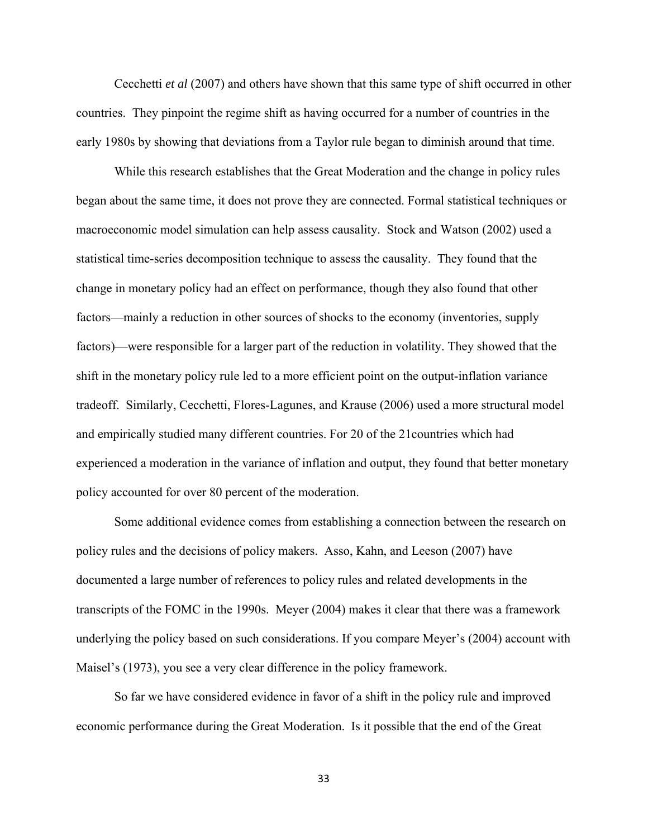Cecchetti *et al* (2007) and others have shown that this same type of shift occurred in other countries. They pinpoint the regime shift as having occurred for a number of countries in the early 1980s by showing that deviations from a Taylor rule began to diminish around that time.

 While this research establishes that the Great Moderation and the change in policy rules began about the same time, it does not prove they are connected. Formal statistical techniques or macroeconomic model simulation can help assess causality. Stock and Watson (2002) used a statistical time-series decomposition technique to assess the causality. They found that the change in monetary policy had an effect on performance, though they also found that other factors—mainly a reduction in other sources of shocks to the economy (inventories, supply factors)—were responsible for a larger part of the reduction in volatility. They showed that the shift in the monetary policy rule led to a more efficient point on the output-inflation variance tradeoff. Similarly, Cecchetti, Flores-Lagunes, and Krause (2006) used a more structural model and empirically studied many different countries. For 20 of the 21countries which had experienced a moderation in the variance of inflation and output, they found that better monetary policy accounted for over 80 percent of the moderation.

 Some additional evidence comes from establishing a connection between the research on policy rules and the decisions of policy makers. Asso, Kahn, and Leeson (2007) have documented a large number of references to policy rules and related developments in the transcripts of the FOMC in the 1990s. Meyer (2004) makes it clear that there was a framework underlying the policy based on such considerations. If you compare Meyer's (2004) account with Maisel's (1973), you see a very clear difference in the policy framework.

 So far we have considered evidence in favor of a shift in the policy rule and improved economic performance during the Great Moderation. Is it possible that the end of the Great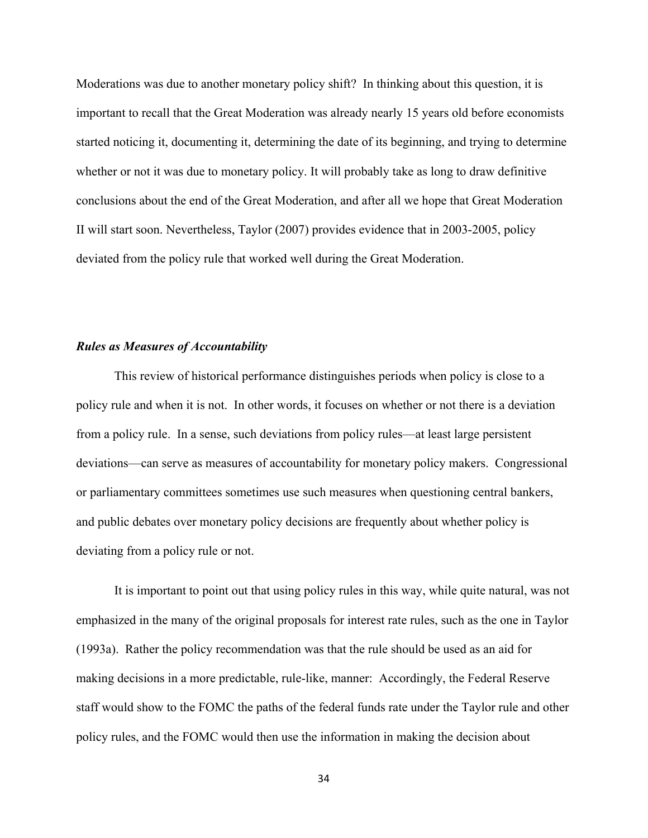Moderations was due to another monetary policy shift? In thinking about this question, it is important to recall that the Great Moderation was already nearly 15 years old before economists started noticing it, documenting it, determining the date of its beginning, and trying to determine whether or not it was due to monetary policy. It will probably take as long to draw definitive conclusions about the end of the Great Moderation, and after all we hope that Great Moderation II will start soon. Nevertheless, Taylor (2007) provides evidence that in 2003-2005, policy deviated from the policy rule that worked well during the Great Moderation.

# *Rules as Measures of Accountability*

 This review of historical performance distinguishes periods when policy is close to a policy rule and when it is not. In other words, it focuses on whether or not there is a deviation from a policy rule. In a sense, such deviations from policy rules—at least large persistent deviations—can serve as measures of accountability for monetary policy makers. Congressional or parliamentary committees sometimes use such measures when questioning central bankers, and public debates over monetary policy decisions are frequently about whether policy is deviating from a policy rule or not.

 It is important to point out that using policy rules in this way, while quite natural, was not emphasized in the many of the original proposals for interest rate rules, such as the one in Taylor (1993a). Rather the policy recommendation was that the rule should be used as an aid for making decisions in a more predictable, rule-like, manner: Accordingly, the Federal Reserve staff would show to the FOMC the paths of the federal funds rate under the Taylor rule and other policy rules, and the FOMC would then use the information in making the decision about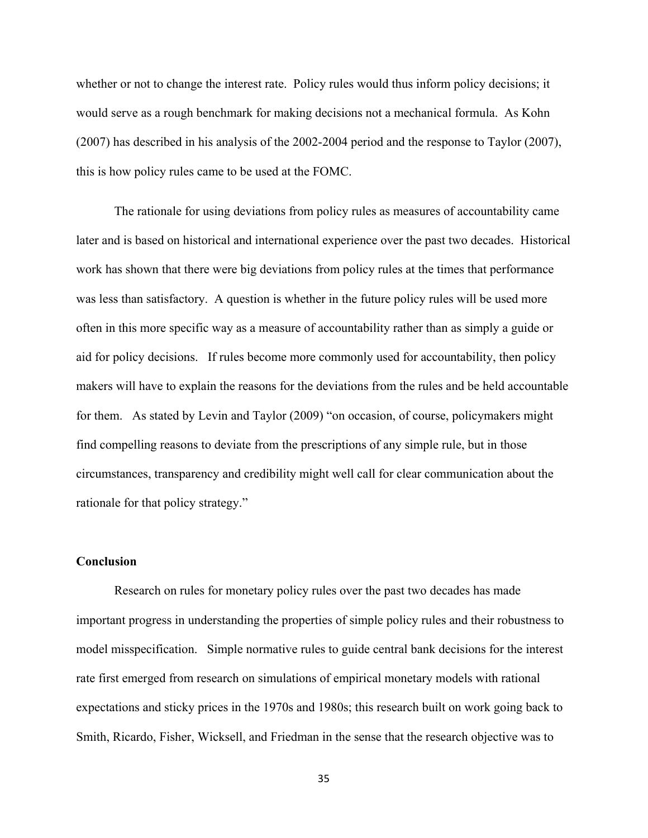whether or not to change the interest rate. Policy rules would thus inform policy decisions; it would serve as a rough benchmark for making decisions not a mechanical formula. As Kohn (2007) has described in his analysis of the 2002-2004 period and the response to Taylor (2007), this is how policy rules came to be used at the FOMC.

 The rationale for using deviations from policy rules as measures of accountability came later and is based on historical and international experience over the past two decades. Historical work has shown that there were big deviations from policy rules at the times that performance was less than satisfactory. A question is whether in the future policy rules will be used more often in this more specific way as a measure of accountability rather than as simply a guide or aid for policy decisions. If rules become more commonly used for accountability, then policy makers will have to explain the reasons for the deviations from the rules and be held accountable for them. As stated by Levin and Taylor (2009) "on occasion, of course, policymakers might find compelling reasons to deviate from the prescriptions of any simple rule, but in those circumstances, transparency and credibility might well call for clear communication about the rationale for that policy strategy."

#### **Conclusion**

Research on rules for monetary policy rules over the past two decades has made important progress in understanding the properties of simple policy rules and their robustness to model misspecification. Simple normative rules to guide central bank decisions for the interest rate first emerged from research on simulations of empirical monetary models with rational expectations and sticky prices in the 1970s and 1980s; this research built on work going back to Smith, Ricardo, Fisher, Wicksell, and Friedman in the sense that the research objective was to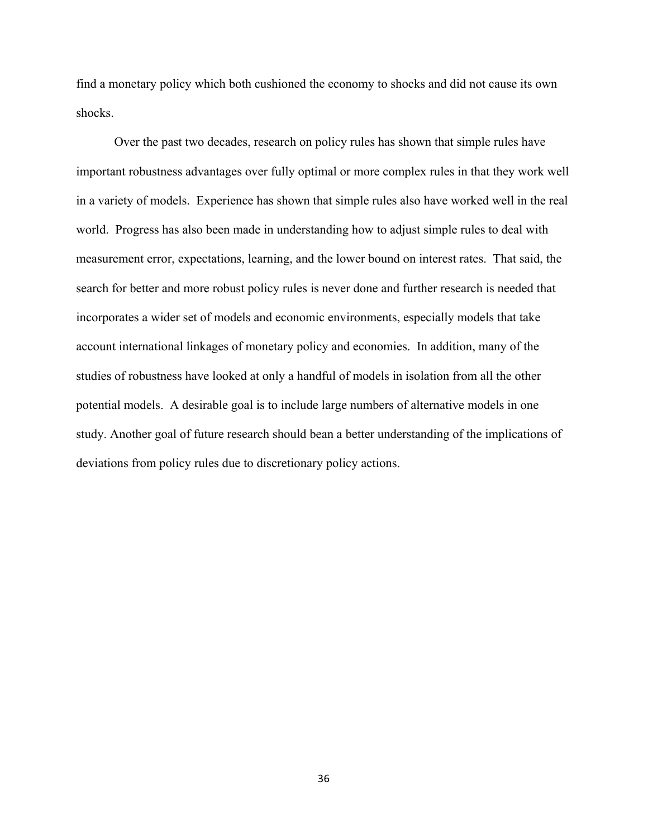find a monetary policy which both cushioned the economy to shocks and did not cause its own shocks.

Over the past two decades, research on policy rules has shown that simple rules have important robustness advantages over fully optimal or more complex rules in that they work well in a variety of models. Experience has shown that simple rules also have worked well in the real world. Progress has also been made in understanding how to adjust simple rules to deal with measurement error, expectations, learning, and the lower bound on interest rates. That said, the search for better and more robust policy rules is never done and further research is needed that incorporates a wider set of models and economic environments, especially models that take account international linkages of monetary policy and economies. In addition, many of the studies of robustness have looked at only a handful of models in isolation from all the other potential models. A desirable goal is to include large numbers of alternative models in one study. Another goal of future research should bean a better understanding of the implications of deviations from policy rules due to discretionary policy actions.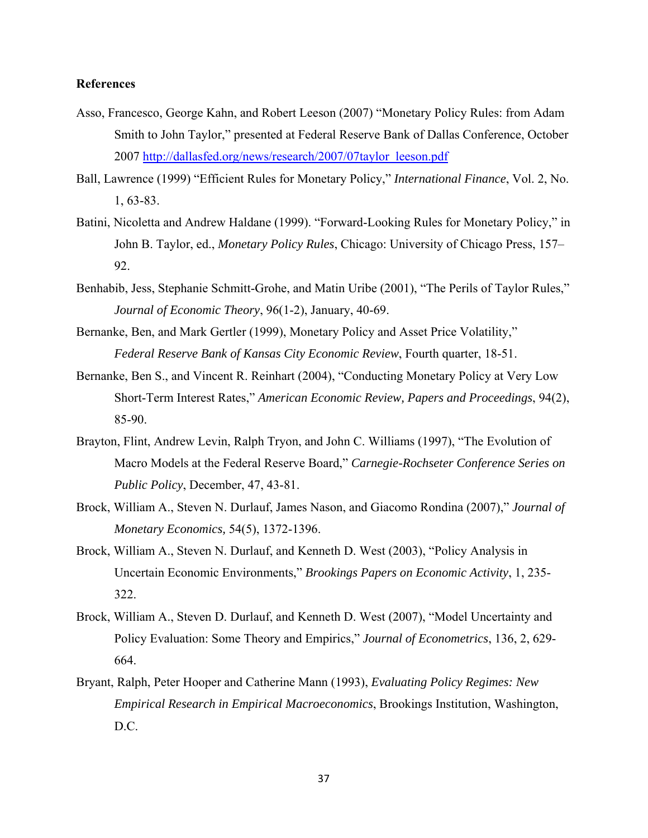# **References**

- Asso, Francesco, George Kahn, and Robert Leeson (2007) "Monetary Policy Rules: from Adam Smith to John Taylor," presented at Federal Reserve Bank of Dallas Conference, October 2007 http://dallasfed.org/news/research/2007/07taylor\_leeson.pdf
- Ball, Lawrence (1999) "Efficient Rules for Monetary Policy," *International Finance*, Vol. 2, No. 1, 63-83.
- Batini, Nicoletta and Andrew Haldane (1999). "Forward-Looking Rules for Monetary Policy," in John B. Taylor, ed., *Monetary Policy Rules*, Chicago: University of Chicago Press, 157– 92.
- Benhabib, Jess, Stephanie Schmitt-Grohe, and Matin Uribe (2001), "The Perils of Taylor Rules," *Journal of Economic Theory*, 96(1-2), January, 40-69.
- Bernanke, Ben, and Mark Gertler (1999), Monetary Policy and Asset Price Volatility," *Federal Reserve Bank of Kansas City Economic Review*, Fourth quarter, 18-51.
- Bernanke, Ben S., and Vincent R. Reinhart (2004), "Conducting Monetary Policy at Very Low Short-Term Interest Rates," *American Economic Review, Papers and Proceedings*, 94(2), 85-90.
- Brayton, Flint, Andrew Levin, Ralph Tryon, and John C. Williams (1997), "The Evolution of Macro Models at the Federal Reserve Board," *Carnegie-Rochseter Conference Series on Public Policy*, December, 47, 43-81.
- Brock, William A., Steven N. Durlauf, James Nason, and Giacomo Rondina (2007)," *Journal of Monetary Economics,* 54(5), 1372-1396.
- Brock, William A., Steven N. Durlauf, and Kenneth D. West (2003), "Policy Analysis in Uncertain Economic Environments," *Brookings Papers on Economic Activity*, 1, 235- 322.
- Brock, William A., Steven D. Durlauf, and Kenneth D. West (2007), "Model Uncertainty and Policy Evaluation: Some Theory and Empirics," *Journal of Econometrics*, 136, 2, 629- 664.
- Bryant, Ralph, Peter Hooper and Catherine Mann (1993), *Evaluating Policy Regimes: New Empirical Research in Empirical Macroeconomics*, Brookings Institution, Washington, D.C.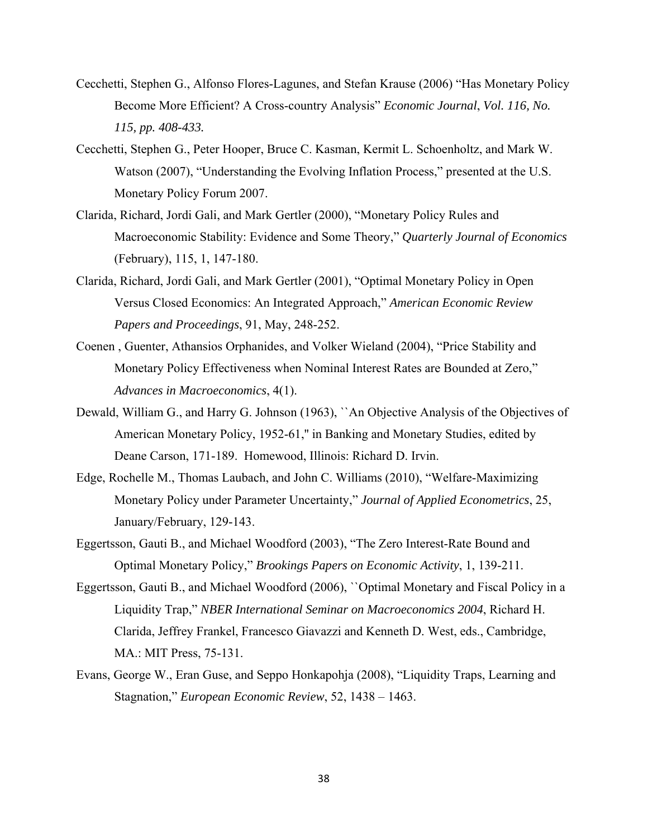- Cecchetti, Stephen G., Alfonso Flores-Lagunes, and Stefan Krause (2006) "Has Monetary Policy Become More Efficient? A Cross-country Analysis" *Economic Journal*, *Vol. 116, No. 115, pp. 408-433.*
- Cecchetti, Stephen G., Peter Hooper, Bruce C. Kasman, Kermit L. Schoenholtz, and Mark W. Watson (2007), "Understanding the Evolving Inflation Process," presented at the U.S. Monetary Policy Forum 2007.
- Clarida, Richard, Jordi Gali, and Mark Gertler (2000), "Monetary Policy Rules and Macroeconomic Stability: Evidence and Some Theory," *Quarterly Journal of Economics* (February), 115, 1, 147-180.
- Clarida, Richard, Jordi Gali, and Mark Gertler (2001), "Optimal Monetary Policy in Open Versus Closed Economics: An Integrated Approach," *American Economic Review Papers and Proceedings*, 91, May, 248-252.
- Coenen , Guenter, Athansios Orphanides, and Volker Wieland (2004), "Price Stability and Monetary Policy Effectiveness when Nominal Interest Rates are Bounded at Zero," *Advances in Macroeconomics*, 4(1).
- Dewald, William G., and Harry G. Johnson (1963), ``An Objective Analysis of the Objectives of American Monetary Policy, 1952-61,'' in Banking and Monetary Studies, edited by Deane Carson, 171-189. Homewood, Illinois: Richard D. Irvin.
- Edge, Rochelle M., Thomas Laubach, and John C. Williams (2010), "Welfare-Maximizing Monetary Policy under Parameter Uncertainty," *Journal of Applied Econometrics*, 25, January/February, 129-143.
- Eggertsson, Gauti B., and Michael Woodford (2003), "The Zero Interest-Rate Bound and Optimal Monetary Policy," *Brookings Papers on Economic Activity*, 1, 139-211.
- Eggertsson, Gauti B., and Michael Woodford (2006), ``Optimal Monetary and Fiscal Policy in a Liquidity Trap," *NBER International Seminar on Macroeconomics 2004*, Richard H. Clarida, Jeffrey Frankel, Francesco Giavazzi and Kenneth D. West, eds., Cambridge, MA.: MIT Press, 75-131.
- Evans, George W., Eran Guse, and Seppo Honkapohja (2008), "Liquidity Traps, Learning and Stagnation," *European Economic Review*, 52, 1438 – 1463.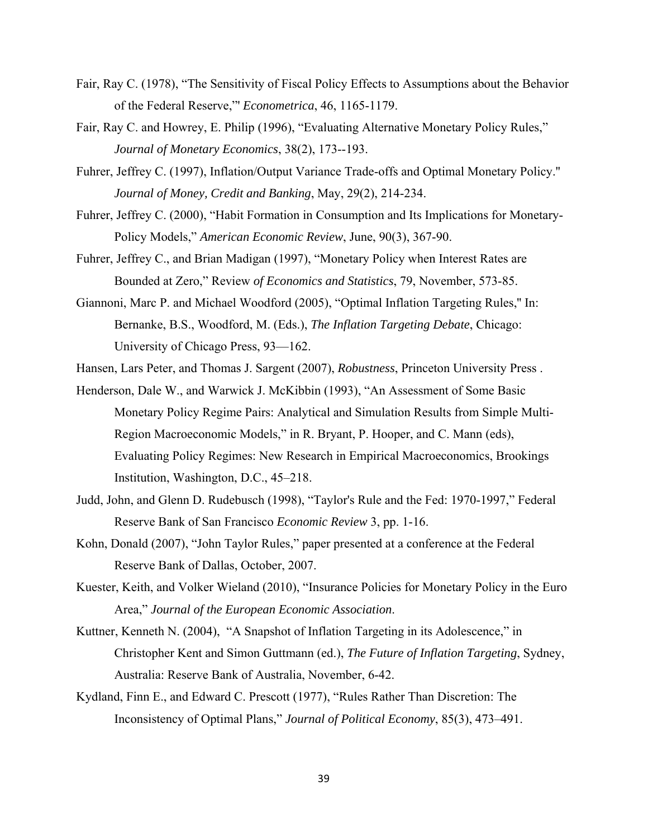- Fair, Ray C. (1978), "The Sensitivity of Fiscal Policy Effects to Assumptions about the Behavior of the Federal Reserve,"' *Econometrica*, 46, 1165-1179.
- Fair, Ray C. and Howrey, E. Philip (1996), "Evaluating Alternative Monetary Policy Rules," *Journal of Monetary Economics*, 38(2), 173--193.
- Fuhrer, Jeffrey C. (1997), Inflation/Output Variance Trade-offs and Optimal Monetary Policy.'' *Journal of Money, Credit and Banking*, May, 29(2), 214-234.
- Fuhrer, Jeffrey C. (2000), "Habit Formation in Consumption and Its Implications for Monetary-Policy Models," *American Economic Review*, June, 90(3), 367-90.
- Fuhrer, Jeffrey C., and Brian Madigan (1997), "Monetary Policy when Interest Rates are Bounded at Zero," Review *of Economics and Statistics*, 79, November, 573-85.
- Giannoni, Marc P. and Michael Woodford (2005), "Optimal Inflation Targeting Rules,'' In: Bernanke, B.S., Woodford, M. (Eds.), *The Inflation Targeting Debate*, Chicago: University of Chicago Press, 93—162.
- Hansen, Lars Peter, and Thomas J. Sargent (2007), *Robustness*, Princeton University Press .
- Henderson, Dale W., and Warwick J. McKibbin (1993), "An Assessment of Some Basic Monetary Policy Regime Pairs: Analytical and Simulation Results from Simple Multi-Region Macroeconomic Models," in R. Bryant, P. Hooper, and C. Mann (eds), Evaluating Policy Regimes: New Research in Empirical Macroeconomics, Brookings Institution, Washington, D.C., 45–218.
- Judd, John, and Glenn D. Rudebusch (1998), "Taylor's Rule and the Fed: 1970-1997," Federal Reserve Bank of San Francisco *Economic Review* 3, pp. 1-16.
- Kohn, Donald (2007), "John Taylor Rules," paper presented at a conference at the Federal Reserve Bank of Dallas, October, 2007.
- Kuester, Keith, and Volker Wieland (2010), "Insurance Policies for Monetary Policy in the Euro Area," *Journal of the European Economic Association*.
- Kuttner, Kenneth N. (2004), "A Snapshot of Inflation Targeting in its Adolescence," in Christopher Kent and Simon Guttmann (ed.), *The Future of Inflation Targeting*, Sydney, Australia: Reserve Bank of Australia, November, 6-42.
- Kydland, Finn E., and Edward C. Prescott (1977), "Rules Rather Than Discretion: The Inconsistency of Optimal Plans," *Journal of Political Economy*, 85(3), 473–491.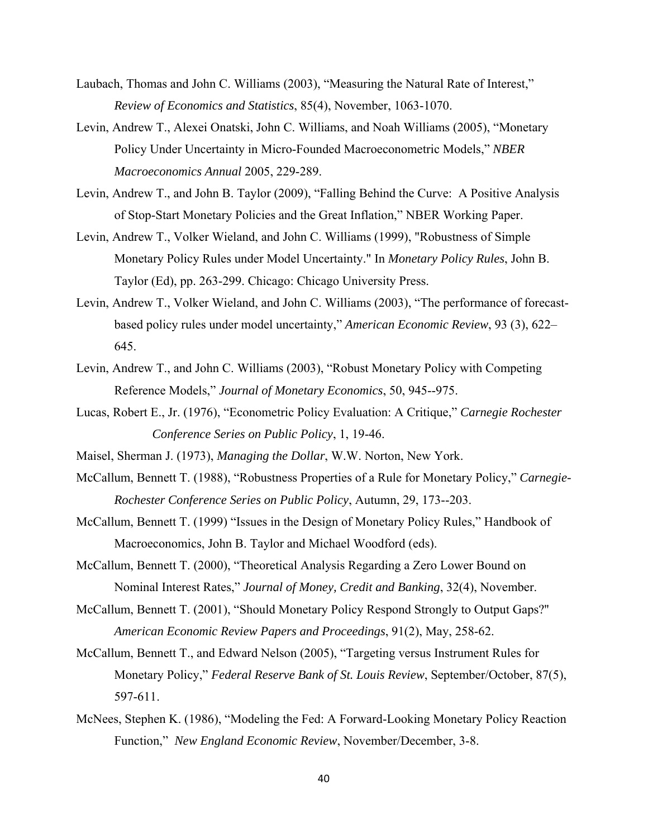- Laubach, Thomas and John C. Williams (2003), "Measuring the Natural Rate of Interest," *Review of Economics and Statistics*, 85(4), November, 1063-1070.
- Levin, Andrew T., Alexei Onatski, John C. Williams, and Noah Williams (2005), "Monetary Policy Under Uncertainty in Micro-Founded Macroeconometric Models," *NBER Macroeconomics Annual* 2005, 229-289.
- Levin, Andrew T., and John B. Taylor (2009), "Falling Behind the Curve: A Positive Analysis of Stop-Start Monetary Policies and the Great Inflation," NBER Working Paper.
- Levin, Andrew T., Volker Wieland, and John C. Williams (1999), "Robustness of Simple Monetary Policy Rules under Model Uncertainty." In *Monetary Policy Rules*, John B. Taylor (Ed), pp. 263-299. Chicago: Chicago University Press.
- Levin, Andrew T., Volker Wieland, and John C. Williams (2003), "The performance of forecastbased policy rules under model uncertainty," *American Economic Review*, 93 (3), 622– 645.
- Levin, Andrew T., and John C. Williams (2003), "Robust Monetary Policy with Competing Reference Models," *Journal of Monetary Economics*, 50, 945--975.
- Lucas, Robert E., Jr. (1976), "Econometric Policy Evaluation: A Critique," *Carnegie Rochester Conference Series on Public Policy*, 1, 19-46.
- Maisel, Sherman J. (1973), *Managing the Dollar*, W.W. Norton, New York.
- McCallum, Bennett T. (1988), "Robustness Properties of a Rule for Monetary Policy," *Carnegie-Rochester Conference Series on Public Policy*, Autumn, 29, 173--203.
- McCallum, Bennett T. (1999) "Issues in the Design of Monetary Policy Rules," Handbook of Macroeconomics, John B. Taylor and Michael Woodford (eds).
- McCallum, Bennett T. (2000), "Theoretical Analysis Regarding a Zero Lower Bound on Nominal Interest Rates," *Journal of Money, Credit and Banking*, 32(4), November.
- McCallum, Bennett T. (2001), "Should Monetary Policy Respond Strongly to Output Gaps?'' *American Economic Review Papers and Proceedings*, 91(2), May, 258-62.
- McCallum, Bennett T., and Edward Nelson (2005), "Targeting versus Instrument Rules for Monetary Policy," *Federal Reserve Bank of St. Louis Review*, September/October, 87(5), 597-611.
- McNees, Stephen K. (1986), "Modeling the Fed: A Forward-Looking Monetary Policy Reaction Function," *New England Economic Review*, November/December, 3-8.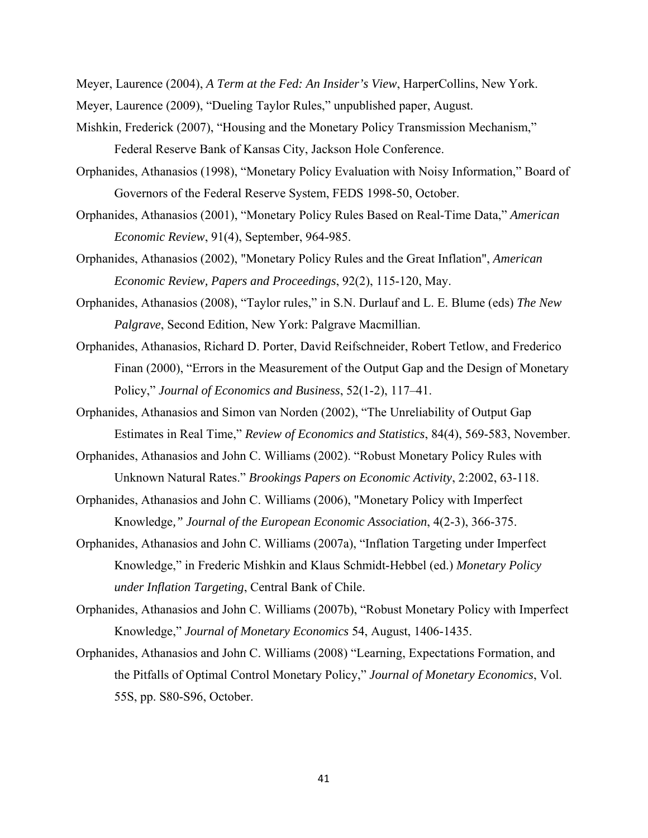Meyer, Laurence (2004), *A Term at the Fed: An Insider's View*, HarperCollins, New York.

- Meyer, Laurence (2009), "Dueling Taylor Rules," unpublished paper, August.
- Mishkin, Frederick (2007), "Housing and the Monetary Policy Transmission Mechanism," Federal Reserve Bank of Kansas City, Jackson Hole Conference.
- Orphanides, Athanasios (1998), "Monetary Policy Evaluation with Noisy Information," Board of Governors of the Federal Reserve System, FEDS 1998-50, October.
- Orphanides, Athanasios (2001), "Monetary Policy Rules Based on Real-Time Data," *American Economic Review*, 91(4), September, 964-985.
- Orphanides, Athanasios (2002), "Monetary Policy Rules and the Great Inflation", *American Economic Review, Papers and Proceedings*, 92(2), 115-120, May.
- Orphanides, Athanasios (2008), "Taylor rules," in S.N. Durlauf and L. E. Blume (eds) *The New Palgrave*, Second Edition, New York: Palgrave Macmillian.
- Orphanides, Athanasios, Richard D. Porter, David Reifschneider, Robert Tetlow, and Frederico Finan (2000), "Errors in the Measurement of the Output Gap and the Design of Monetary Policy," *Journal of Economics and Business*, 52(1-2), 117–41.
- Orphanides, Athanasios and Simon van Norden (2002), "The Unreliability of Output Gap Estimates in Real Time," *Review of Economics and Statistics*, 84(4), 569-583, November.
- Orphanides, Athanasios and John C. Williams (2002). "Robust Monetary Policy Rules with Unknown Natural Rates." *Brookings Papers on Economic Activity*, 2:2002, 63-118.
- Orphanides, Athanasios and John C. Williams (2006), "Monetary Policy with Imperfect Knowledge*," Journal of the European Economic Association*, 4(2-3), 366-375.
- Orphanides, Athanasios and John C. Williams (2007a), "Inflation Targeting under Imperfect Knowledge," in Frederic Mishkin and Klaus Schmidt-Hebbel (ed.) *Monetary Policy under Inflation Targeting*, Central Bank of Chile.
- Orphanides, Athanasios and John C. Williams (2007b), "Robust Monetary Policy with Imperfect Knowledge," *Journal of Monetary Economics* 54, August, 1406-1435.
- Orphanides, Athanasios and John C. Williams (2008) "Learning, Expectations Formation, and the Pitfalls of Optimal Control Monetary Policy," *Journal of Monetary Economics*, Vol. 55S, pp. S80-S96, October.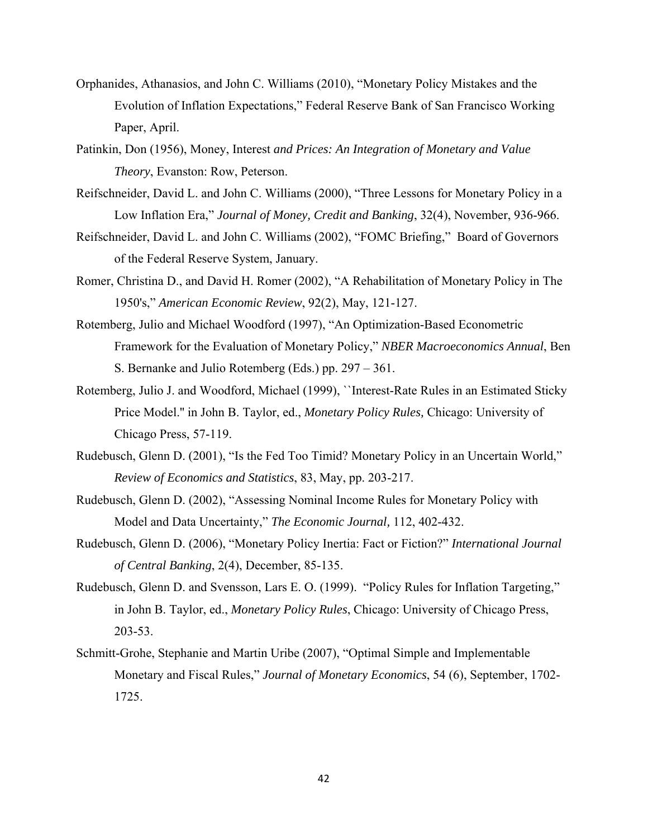- Orphanides, Athanasios, and John C. Williams (2010), "Monetary Policy Mistakes and the Evolution of Inflation Expectations," Federal Reserve Bank of San Francisco Working Paper, April.
- Patinkin, Don (1956), Money, Interest *and Prices: An Integration of Monetary and Value Theory*, Evanston: Row, Peterson.
- Reifschneider, David L. and John C. Williams (2000), "Three Lessons for Monetary Policy in a Low Inflation Era," *Journal of Money, Credit and Banking*, 32(4), November, 936-966.
- Reifschneider, David L. and John C. Williams (2002), "FOMC Briefing," Board of Governors of the Federal Reserve System, January.
- Romer, Christina D., and David H. Romer (2002), "A Rehabilitation of Monetary Policy in The 1950's," *American Economic Review*, 92(2), May, 121-127.
- Rotemberg, Julio and Michael Woodford (1997), "An Optimization-Based Econometric Framework for the Evaluation of Monetary Policy," *NBER Macroeconomics Annual*, Ben S. Bernanke and Julio Rotemberg (Eds.) pp. 297 – 361.
- Rotemberg, Julio J. and Woodford, Michael (1999), ``Interest-Rate Rules in an Estimated Sticky Price Model.'' in John B. Taylor, ed., *Monetary Policy Rules,* Chicago: University of Chicago Press, 57-119.
- Rudebusch, Glenn D. (2001), "Is the Fed Too Timid? Monetary Policy in an Uncertain World," *Review of Economics and Statistics*, 83, May, pp. 203-217.
- Rudebusch, Glenn D. (2002), "Assessing Nominal Income Rules for Monetary Policy with Model and Data Uncertainty," *The Economic Journal,* 112, 402-432.
- Rudebusch, Glenn D. (2006), "Monetary Policy Inertia: Fact or Fiction?" *International Journal of Central Banking*, 2(4), December, 85-135.
- Rudebusch, Glenn D. and Svensson, Lars E. O. (1999). "Policy Rules for Inflation Targeting," in John B. Taylor, ed., *Monetary Policy Rules*, Chicago: University of Chicago Press, 203-53.
- Schmitt-Grohe, Stephanie and Martin Uribe (2007), "Optimal Simple and Implementable Monetary and Fiscal Rules," *Journal of Monetary Economics*, 54 (6), September, 1702- 1725.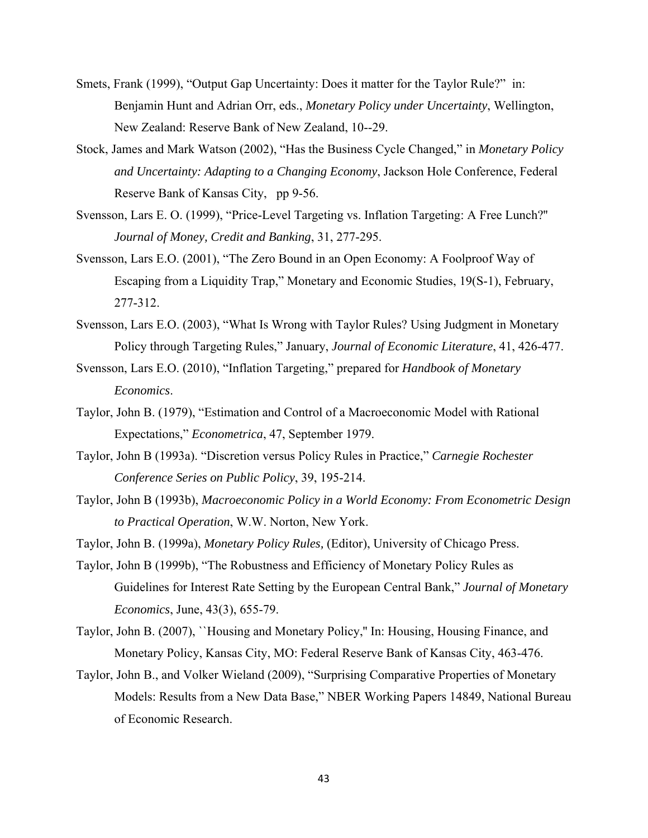- Smets, Frank (1999), "Output Gap Uncertainty: Does it matter for the Taylor Rule?" in: Benjamin Hunt and Adrian Orr, eds., *Monetary Policy under Uncertainty*, Wellington, New Zealand: Reserve Bank of New Zealand, 10--29.
- Stock, James and Mark Watson (2002), "Has the Business Cycle Changed," in *Monetary Policy and Uncertainty: Adapting to a Changing Economy*, Jackson Hole Conference, Federal Reserve Bank of Kansas City, pp 9-56.
- Svensson, Lars E. O. (1999), "Price-Level Targeting vs. Inflation Targeting: A Free Lunch?'' *Journal of Money, Credit and Banking*, 31, 277-295.
- Svensson, Lars E.O. (2001), "The Zero Bound in an Open Economy: A Foolproof Way of Escaping from a Liquidity Trap," Monetary and Economic Studies, 19(S-1), February, 277-312.
- Svensson, Lars E.O. (2003), "What Is Wrong with Taylor Rules? Using Judgment in Monetary Policy through Targeting Rules," January, *Journal of Economic Literature*, 41, 426-477.
- Svensson, Lars E.O. (2010), "Inflation Targeting," prepared for *Handbook of Monetary Economics*.
- Taylor, John B. (1979), "Estimation and Control of a Macroeconomic Model with Rational Expectations," *Econometrica*, 47, September 1979.
- Taylor, John B (1993a). "Discretion versus Policy Rules in Practice," *Carnegie Rochester Conference Series on Public Policy*, 39, 195-214.
- Taylor, John B (1993b), *Macroeconomic Policy in a World Economy: From Econometric Design to Practical Operation*, W.W. Norton, New York.
- Taylor, John B. (1999a), *Monetary Policy Rules,* (Editor), University of Chicago Press.
- Taylor, John B (1999b), "The Robustness and Efficiency of Monetary Policy Rules as Guidelines for Interest Rate Setting by the European Central Bank," *Journal of Monetary Economics*, June, 43(3), 655-79.
- Taylor, John B. (2007), ``Housing and Monetary Policy,'' In: Housing, Housing Finance, and Monetary Policy, Kansas City, MO: Federal Reserve Bank of Kansas City, 463-476.
- Taylor, John B., and Volker Wieland (2009), "Surprising Comparative Properties of Monetary Models: Results from a New Data Base," NBER Working Papers 14849, National Bureau of Economic Research.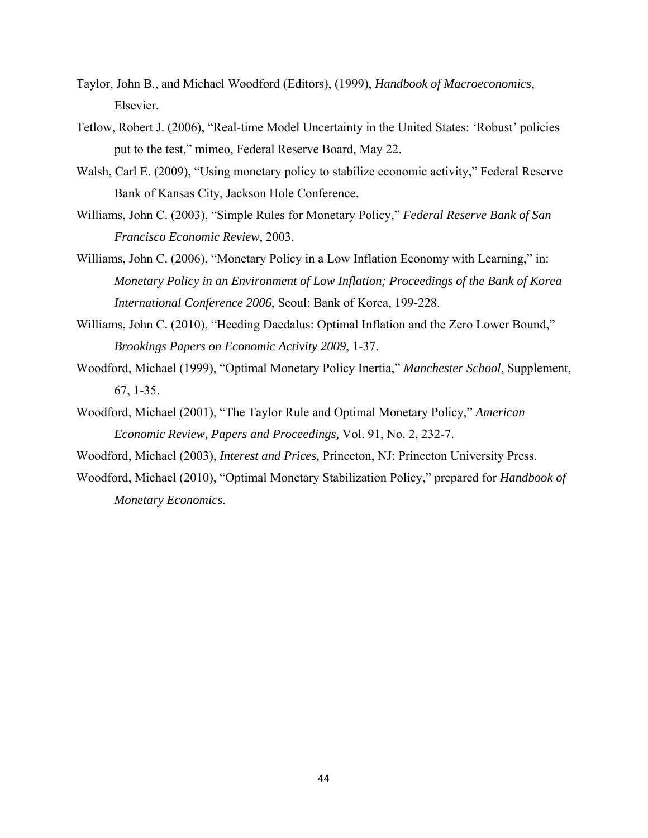- Taylor, John B., and Michael Woodford (Editors), (1999), *Handbook of Macroeconomics*, Elsevier.
- Tetlow, Robert J. (2006), "Real-time Model Uncertainty in the United States: 'Robust' policies put to the test," mimeo, Federal Reserve Board, May 22.
- Walsh, Carl E. (2009), "Using monetary policy to stabilize economic activity," Federal Reserve Bank of Kansas City, Jackson Hole Conference.
- Williams, John C. (2003), "Simple Rules for Monetary Policy," *Federal Reserve Bank of San Francisco Economic Review*, 2003.
- Williams, John C. (2006), "Monetary Policy in a Low Inflation Economy with Learning," in: *Monetary Policy in an Environment of Low Inflation; Proceedings of the Bank of Korea International Conference 2006*, Seoul: Bank of Korea, 199-228.
- Williams, John C. (2010), "Heeding Daedalus: Optimal Inflation and the Zero Lower Bound," *Brookings Papers on Economic Activity 2009*, 1-37.
- Woodford, Michael (1999), "Optimal Monetary Policy Inertia," *Manchester School*, Supplement, 67, 1-35.
- Woodford, Michael (2001), "The Taylor Rule and Optimal Monetary Policy," *American Economic Review, Papers and Proceedings,* Vol. 91, No. 2, 232-7.
- Woodford, Michael (2003), *Interest and Prices,* Princeton, NJ: Princeton University Press.
- Woodford, Michael (2010), "Optimal Monetary Stabilization Policy," prepared for *Handbook of Monetary Economics*.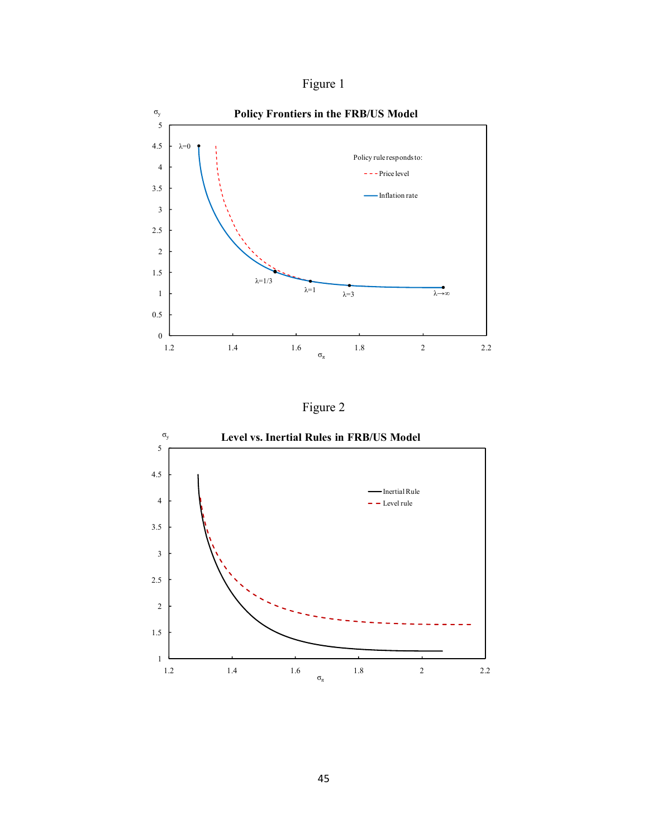



Figure 2

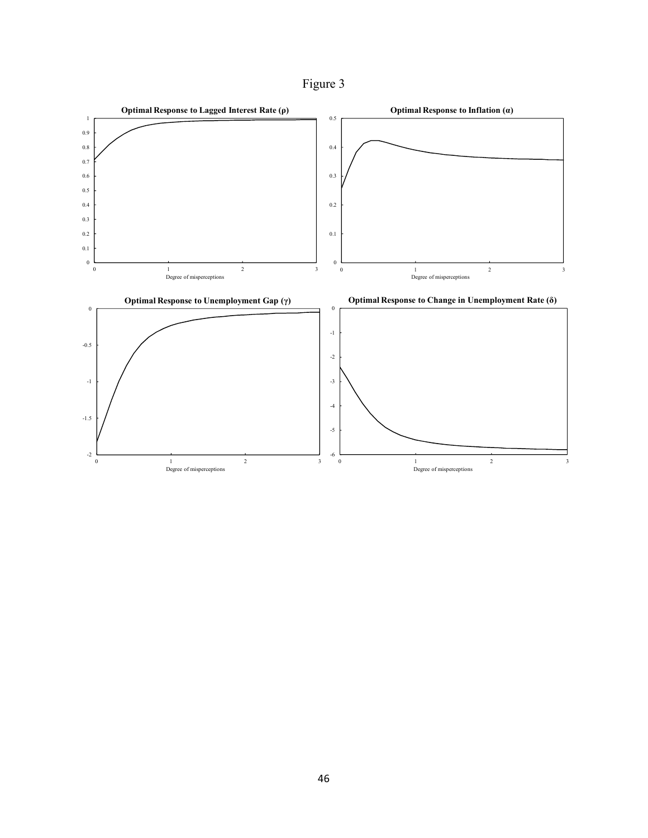Figure 3

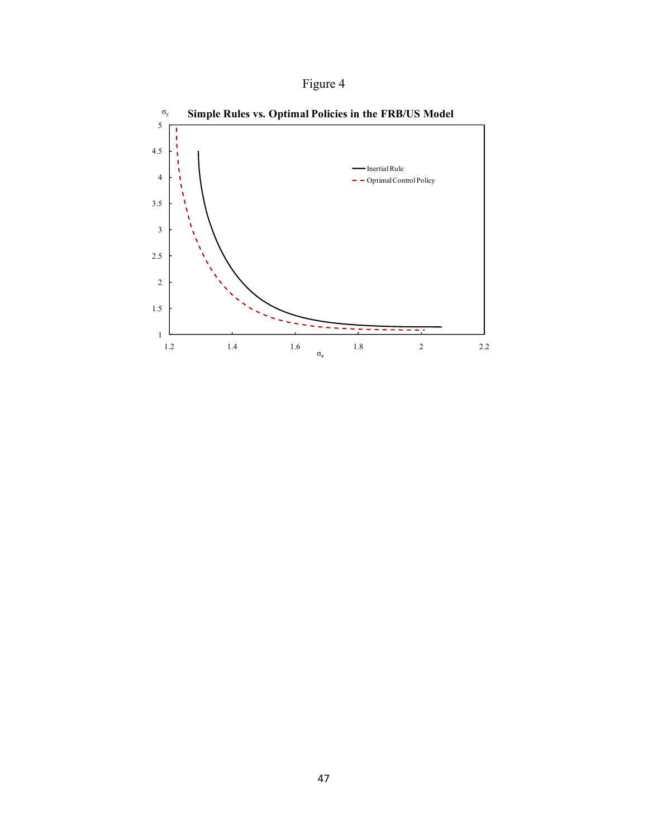

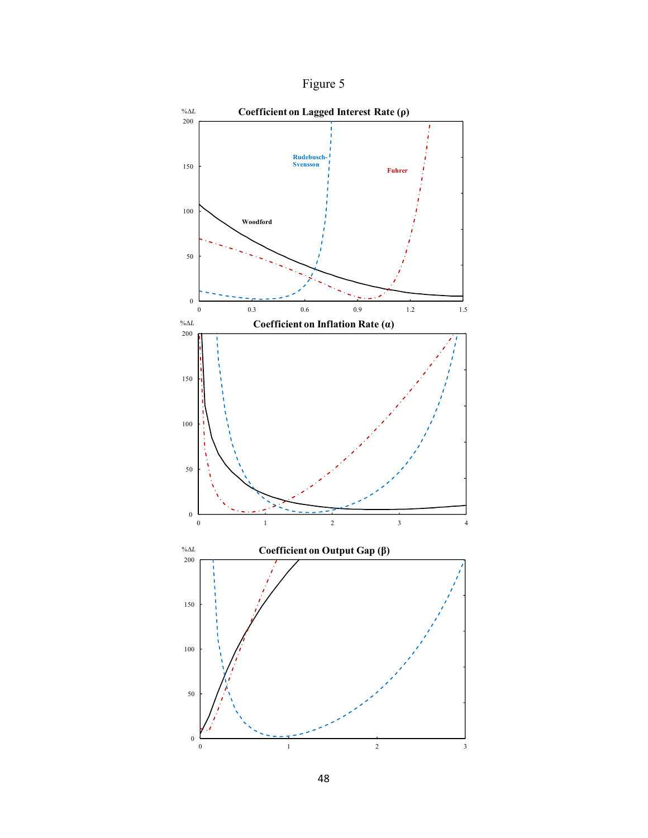

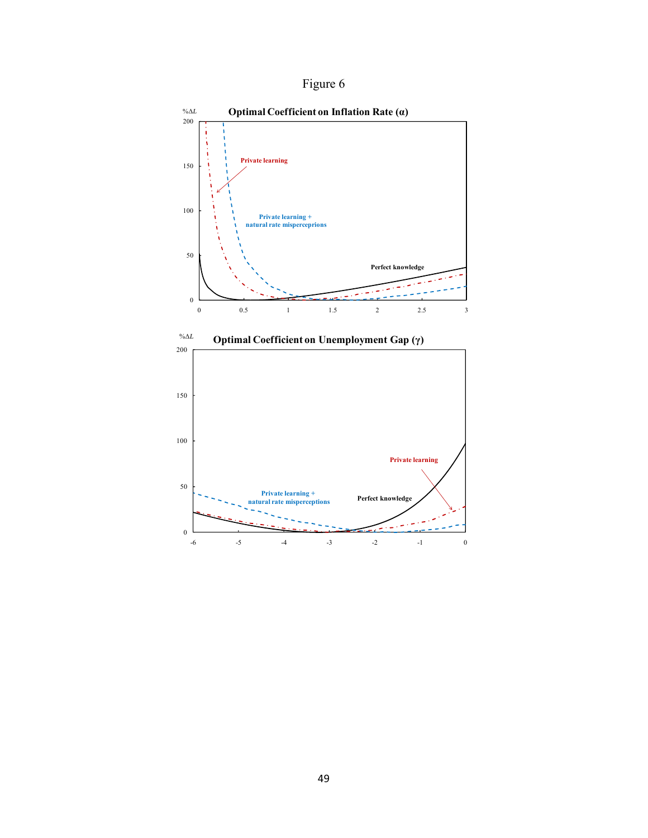Figure 6